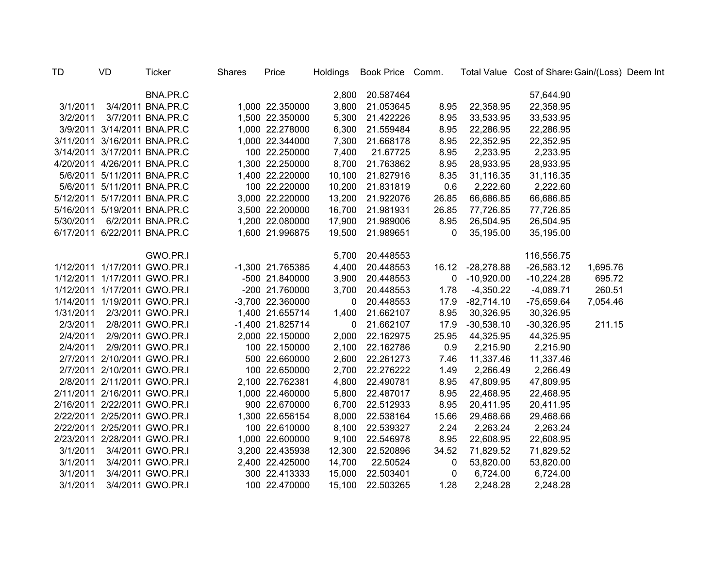| TD        | VD. | Ticker                       | <b>Shares</b> | Price            |              | Holdings Book Price Comm. |              |                  | Total Value Cost of Share: Gain/(Loss) Deem Int |          |  |
|-----------|-----|------------------------------|---------------|------------------|--------------|---------------------------|--------------|------------------|-------------------------------------------------|----------|--|
|           |     | BNA.PR.C                     |               |                  |              | 2,800 20.587464           |              |                  | 57,644.90                                       |          |  |
| 3/1/2011  |     | 3/4/2011 BNA.PR.C            |               | 1,000 22.350000  |              | 3,800 21.053645           | 8.95         | 22,358.95        | 22,358.95                                       |          |  |
| 3/2/2011  |     | 3/7/2011 BNA.PR.C            |               | 1,500 22.350000  | 5,300        | 21.422226                 | 8.95         | 33,533.95        | 33,533.95                                       |          |  |
|           |     | 3/9/2011 3/14/2011 BNA.PR.C  |               | 1,000 22.278000  | 6,300        | 21.559484                 | 8.95         | 22,286.95        | 22,286.95                                       |          |  |
|           |     | 3/11/2011 3/16/2011 BNA.PR.C |               | 1,000 22.344000  | 7,300        | 21.668178                 | 8.95         | 22,352.95        | 22,352.95                                       |          |  |
|           |     | 3/14/2011 3/17/2011 BNA.PR.C |               | 100 22.250000    | 7,400        | 21.67725                  | 8.95         | 2,233.95         | 2,233.95                                        |          |  |
|           |     | 4/20/2011 4/26/2011 BNA.PR.C |               | 1,300 22.250000  | 8,700        | 21.763862                 | 8.95         | 28,933.95        | 28,933.95                                       |          |  |
|           |     | 5/6/2011 5/11/2011 BNA.PR.C  |               | 1,400 22.220000  | 10,100       | 21.827916                 | 8.35         | 31,116.35        | 31,116.35                                       |          |  |
|           |     | 5/6/2011 5/11/2011 BNA.PR.C  |               | 100 22.220000    | 10,200       | 21.831819                 | 0.6          | 2,222.60         | 2,222.60                                        |          |  |
|           |     | 5/12/2011 5/17/2011 BNA.PR.C |               | 3,000 22.220000  | 13,200       | 21.922076                 | 26.85        | 66,686.85        | 66,686.85                                       |          |  |
|           |     | 5/16/2011 5/19/2011 BNA.PR.C |               | 3,500 22.200000  | 16,700       | 21.981931                 | 26.85        | 77,726.85        | 77,726.85                                       |          |  |
| 5/30/2011 |     | 6/2/2011 BNA.PR.C            |               | 1,200 22.080000  |              | 17,900 21.989006          | 8.95         | 26,504.95        | 26,504.95                                       |          |  |
|           |     | 6/17/2011 6/22/2011 BNA.PR.C |               | 1,600 21.996875  |              | 19,500 21.989651          | $\mathbf{0}$ | 35,195.00        | 35,195.00                                       |          |  |
|           |     | GWO.PR.I                     |               |                  |              | 5,700 20.448553           |              |                  | 116,556.75                                      |          |  |
|           |     | 1/12/2011 1/17/2011 GWO.PR.I |               | -1,300 21.765385 |              | 4,400 20.448553           |              | 16.12 -28,278.88 | $-26,583.12$                                    | 1,695.76 |  |
|           |     | 1/12/2011 1/17/2011 GWO.PR.I |               | -500 21.840000   |              | 3,900 20.448553           |              | $0 - 10,920.00$  | $-10,224.28$                                    | 695.72   |  |
|           |     | 1/12/2011 1/17/2011 GWO.PR.I |               | -200 21.760000   |              | 3,700 20.448553           | 1.78         | $-4,350.22$      | $-4,089.71$                                     | 260.51   |  |
|           |     | 1/14/2011 1/19/2011 GWO.PR.I |               | -3,700 22.360000 | $\mathbf{0}$ | 20.448553                 | 17.9         | $-82,714.10$     | $-75,659.64$                                    | 7,054.46 |  |
| 1/31/2011 |     | 2/3/2011 GWO.PR.I            |               | 1,400 21.655714  | 1,400        | 21.662107                 | 8.95         | 30,326.95        | 30,326.95                                       |          |  |
| 2/3/2011  |     | 2/8/2011 GWO.PR.I            |               | -1,400 21.825714 | $\mathbf 0$  | 21.662107                 | 17.9         | $-30,538.10$     | $-30,326.95$                                    | 211.15   |  |
| 2/4/2011  |     | 2/9/2011 GWO.PR.I            |               | 2,000 22.150000  | 2,000        | 22.162975                 | 25.95        | 44,325.95        | 44,325.95                                       |          |  |
| 2/4/2011  |     | 2/9/2011 GWO.PR.I            |               | 100 22.150000    |              | 2,100 22.162786           | 0.9          | 2,215.90         | 2,215.90                                        |          |  |
|           |     | 2/7/2011 2/10/2011 GWO.PR.I  |               | 500 22.660000    |              | 2,600 22.261273           | 7.46         | 11,337.46        | 11,337.46                                       |          |  |
|           |     | 2/7/2011 2/10/2011 GWO.PR.I  |               | 100 22.650000    |              | 2,700 22.276222           | 1.49         | 2,266.49         | 2,266.49                                        |          |  |
|           |     | 2/8/2011 2/11/2011 GWO.PR.I  |               | 2,100 22.762381  |              | 4,800 22.490781           | 8.95         | 47,809.95        | 47,809.95                                       |          |  |
|           |     | 2/11/2011 2/16/2011 GWO.PR.I |               | 1,000 22.460000  |              | 5,800 22.487017           | 8.95         | 22,468.95        | 22,468.95                                       |          |  |
|           |     | 2/16/2011 2/22/2011 GWO.PR.I |               | 900 22.670000    |              | 6,700 22.512933           | 8.95         | 20,411.95        | 20,411.95                                       |          |  |
|           |     | 2/22/2011 2/25/2011 GWO.PR.I |               | 1,300 22.656154  |              | 8,000 22.538164           | 15.66        | 29,468.66        | 29,468.66                                       |          |  |
|           |     | 2/22/2011 2/25/2011 GWO.PR.I |               | 100 22.610000    |              | 8,100 22.539327           | 2.24         | 2,263.24         | 2,263.24                                        |          |  |
|           |     | 2/23/2011 2/28/2011 GWO.PR.I |               | 1,000 22.600000  |              | 9,100 22.546978           | 8.95         | 22,608.95        | 22,608.95                                       |          |  |
| 3/1/2011  |     | 3/4/2011 GWO.PR.I            |               | 3,200 22.435938  |              | 12,300 22.520896          | 34.52        | 71,829.52        | 71,829.52                                       |          |  |
| 3/1/2011  |     | 3/4/2011 GWO.PR.I            |               | 2,400 22.425000  | 14,700       | 22.50524                  | 0            | 53,820.00        | 53,820.00                                       |          |  |
| 3/1/2011  |     | 3/4/2011 GWO.PR.I            |               | 300 22.413333    |              | 15,000 22.503401          | 0            | 6,724.00         | 6,724.00                                        |          |  |
| 3/1/2011  |     | 3/4/2011 GWO.PR.I            |               | 100 22.470000    | 15,100       | 22.503265                 | 1.28         | 2,248.28         | 2,248.28                                        |          |  |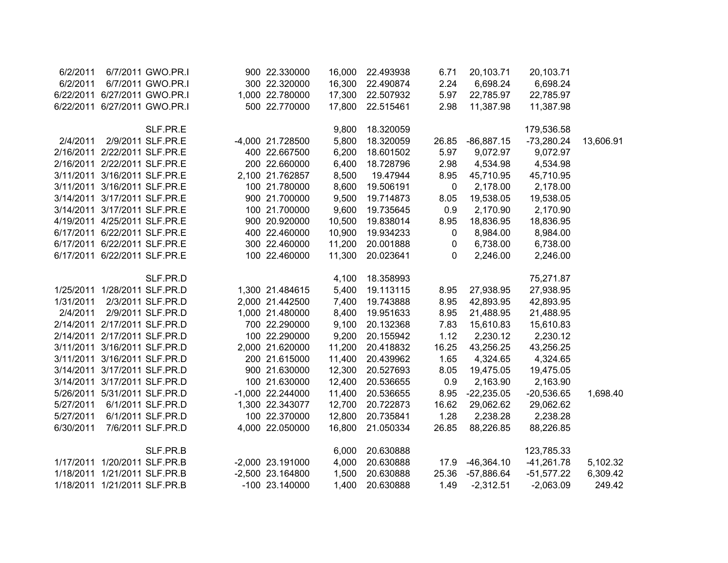| 6/2/2011  | 6/7/2011 GWO.PR.I            | 900 22.330000    | 16,000 | 22.493938 | 6.71  | 20,103.71    | 20,103.71    |           |
|-----------|------------------------------|------------------|--------|-----------|-------|--------------|--------------|-----------|
| 6/2/2011  | 6/7/2011 GWO.PR.I            | 300 22.320000    | 16,300 | 22.490874 | 2.24  | 6,698.24     | 6,698.24     |           |
|           | 6/22/2011 6/27/2011 GWO.PR.I | 1,000 22.780000  | 17,300 | 22.507932 | 5.97  | 22,785.97    | 22,785.97    |           |
|           | 6/22/2011 6/27/2011 GWO.PR.I | 500 22.770000    | 17,800 | 22.515461 | 2.98  | 11,387.98    | 11,387.98    |           |
|           | SLF.PR.E                     |                  | 9,800  | 18.320059 |       |              | 179,536.58   |           |
| 2/4/2011  | 2/9/2011 SLF.PR.E            | -4,000 21.728500 | 5,800  | 18.320059 | 26.85 | $-86,887.15$ | $-73,280.24$ | 13,606.91 |
|           | 2/16/2011 2/22/2011 SLF.PR.E | 400 22.667500    | 6,200  | 18.601502 | 5.97  | 9,072.97     | 9,072.97     |           |
|           | 2/16/2011 2/22/2011 SLF.PR.E | 200 22.660000    | 6,400  | 18.728796 | 2.98  | 4,534.98     | 4,534.98     |           |
|           | 3/11/2011 3/16/2011 SLF.PR.E | 2,100 21.762857  | 8,500  | 19.47944  | 8.95  | 45,710.95    | 45,710.95    |           |
|           | 3/11/2011 3/16/2011 SLF.PR.E | 100 21.780000    | 8,600  | 19.506191 | 0     | 2,178.00     | 2,178.00     |           |
|           | 3/14/2011 3/17/2011 SLF.PR.E | 900 21.700000    | 9,500  | 19.714873 | 8.05  | 19,538.05    | 19,538.05    |           |
|           | 3/14/2011 3/17/2011 SLF.PR.E | 100 21.700000    | 9,600  | 19.735645 | 0.9   | 2,170.90     | 2,170.90     |           |
|           | 4/19/2011 4/25/2011 SLF.PR.E | 900 20.920000    | 10,500 | 19.838014 | 8.95  | 18,836.95    | 18,836.95    |           |
|           | 6/17/2011 6/22/2011 SLF.PR.E | 400 22.460000    | 10,900 | 19.934233 | 0     | 8,984.00     | 8,984.00     |           |
|           | 6/17/2011 6/22/2011 SLF.PR.E | 300 22.460000    | 11,200 | 20.001888 | 0     | 6,738.00     | 6,738.00     |           |
|           | 6/17/2011 6/22/2011 SLF.PR.E | 100 22.460000    | 11,300 | 20.023641 | 0     | 2,246.00     | 2,246.00     |           |
|           | SLF.PR.D                     |                  | 4,100  | 18.358993 |       |              | 75,271.87    |           |
|           | 1/25/2011 1/28/2011 SLF.PR.D | 1,300 21.484615  | 5,400  | 19.113115 | 8.95  | 27,938.95    | 27,938.95    |           |
| 1/31/2011 | 2/3/2011 SLF.PR.D            | 2,000 21.442500  | 7,400  | 19.743888 | 8.95  | 42,893.95    | 42,893.95    |           |
| 2/4/2011  | 2/9/2011 SLF.PR.D            | 1,000 21.480000  | 8,400  | 19.951633 | 8.95  | 21,488.95    | 21,488.95    |           |
|           | 2/14/2011 2/17/2011 SLF.PR.D | 700 22.290000    | 9,100  | 20.132368 | 7.83  | 15,610.83    | 15,610.83    |           |
|           | 2/14/2011 2/17/2011 SLF.PR.D | 100 22.290000    | 9,200  | 20.155942 | 1.12  | 2,230.12     | 2,230.12     |           |
|           | 3/11/2011 3/16/2011 SLF.PR.D | 2,000 21.620000  | 11,200 | 20.418832 | 16.25 | 43,256.25    | 43,256.25    |           |
|           | 3/11/2011 3/16/2011 SLF.PR.D | 200 21.615000    | 11,400 | 20.439962 | 1.65  | 4,324.65     | 4,324.65     |           |
|           | 3/14/2011 3/17/2011 SLF.PR.D | 900 21.630000    | 12,300 | 20.527693 | 8.05  | 19,475.05    | 19,475.05    |           |
|           | 3/14/2011 3/17/2011 SLF.PR.D | 100 21.630000    | 12,400 | 20.536655 | 0.9   | 2,163.90     | 2,163.90     |           |
|           | 5/26/2011 5/31/2011 SLF.PR.D | -1,000 22.244000 | 11,400 | 20.536655 | 8.95  | $-22,235.05$ | $-20,536.65$ | 1,698.40  |
| 5/27/2011 | 6/1/2011 SLF.PR.D            | 1,300 22.343077  | 12,700 | 20.722873 | 16.62 | 29,062.62    | 29,062.62    |           |
| 5/27/2011 | 6/1/2011 SLF.PR.D            | 100 22.370000    | 12,800 | 20.735841 | 1.28  | 2,238.28     | 2,238.28     |           |
| 6/30/2011 | 7/6/2011 SLF.PR.D            | 4,000 22.050000  | 16,800 | 21.050334 | 26.85 | 88,226.85    | 88,226.85    |           |
|           | SLF.PR.B                     |                  | 6,000  | 20.630888 |       |              | 123,785.33   |           |
|           | 1/17/2011 1/20/2011 SLF.PR.B | -2,000 23.191000 | 4,000  | 20.630888 | 17.9  | $-46,364.10$ | $-41,261.78$ | 5,102.32  |
|           | 1/18/2011 1/21/2011 SLF.PR.B | -2,500 23.164800 | 1,500  | 20.630888 | 25.36 | $-57,886.64$ | $-51,577.22$ | 6,309.42  |
|           | 1/18/2011 1/21/2011 SLF.PR.B | -100 23.140000   | 1,400  | 20.630888 | 1.49  | $-2,312.51$  | $-2,063.09$  | 249.42    |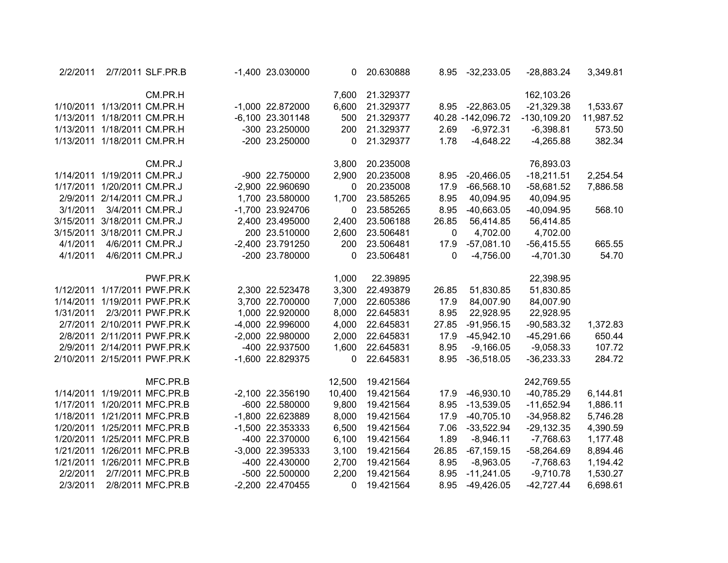| 2/2/2011  |                   | 2/7/2011 SLF.PR.B            | -1,400 23.030000 | 0      | 20.630888 | 8.95  | $-32,233.05$      | $-28,883.24$   | 3,349.81  |
|-----------|-------------------|------------------------------|------------------|--------|-----------|-------|-------------------|----------------|-----------|
|           |                   | CM.PR.H                      |                  | 7,600  | 21.329377 |       |                   | 162,103.26     |           |
| 1/10/2011 | 1/13/2011 CM.PR.H |                              | -1,000 22.872000 | 6,600  | 21.329377 | 8.95  | $-22,863.05$      | $-21,329.38$   | 1,533.67  |
| 1/13/2011 | 1/18/2011 CM.PR.H |                              | -6,100 23.301148 | 500    | 21.329377 |       | 40.28 -142,096.72 | $-130, 109.20$ | 11,987.52 |
| 1/13/2011 | 1/18/2011 CM.PR.H |                              | -300 23.250000   | 200    | 21.329377 | 2.69  | $-6,972.31$       | $-6,398.81$    | 573.50    |
| 1/13/2011 | 1/18/2011 CM.PR.H |                              | -200 23.250000   | 0      | 21.329377 | 1.78  | $-4,648.22$       | $-4,265.88$    | 382.34    |
|           |                   | CM.PR.J                      |                  | 3,800  | 20.235008 |       |                   | 76,893.03      |           |
| 1/14/2011 | 1/19/2011 CM.PR.J |                              | -900 22.750000   | 2,900  | 20.235008 | 8.95  | $-20,466.05$      | $-18,211.51$   | 2,254.54  |
| 1/17/2011 | 1/20/2011 CM.PR.J |                              | -2,900 22.960690 | 0      | 20.235008 | 17.9  | $-66,568.10$      | $-58,681.52$   | 7,886.58  |
| 2/9/2011  | 2/14/2011 CM.PR.J |                              | 1,700 23.580000  | 1,700  | 23.585265 | 8.95  | 40,094.95         | 40,094.95      |           |
| 3/1/2011  |                   | 3/4/2011 CM.PR.J             | -1,700 23.924706 | 0      | 23.585265 | 8.95  | $-40,663.05$      | $-40,094.95$   | 568.10    |
| 3/15/2011 | 3/18/2011 CM.PR.J |                              | 2,400 23.495000  | 2,400  | 23.506188 | 26.85 | 56,414.85         | 56,414.85      |           |
| 3/15/2011 | 3/18/2011 CM.PR.J |                              | 200 23.510000    | 2,600  | 23.506481 | 0     | 4,702.00          | 4,702.00       |           |
| 4/1/2011  |                   | 4/6/2011 CM.PR.J             | -2,400 23.791250 | 200    | 23.506481 | 17.9  | $-57,081.10$      | $-56,415.55$   | 665.55    |
| 4/1/2011  |                   | 4/6/2011 CM.PR.J             | -200 23.780000   | 0      | 23.506481 | 0     | $-4,756.00$       | $-4,701.30$    | 54.70     |
|           |                   | PWF.PR.K                     |                  | 1,000  | 22.39895  |       |                   | 22,398.95      |           |
| 1/12/2011 |                   | 1/17/2011 PWF.PR.K           | 2,300 22.523478  | 3,300  | 22.493879 | 26.85 | 51,830.85         | 51,830.85      |           |
| 1/14/2011 |                   | 1/19/2011 PWF.PR.K           | 3,700 22.700000  | 7,000  | 22.605386 | 17.9  | 84,007.90         | 84,007.90      |           |
| 1/31/2011 |                   | 2/3/2011 PWF.PR.K            | 1,000 22.920000  | 8,000  | 22.645831 | 8.95  | 22,928.95         | 22,928.95      |           |
| 2/7/2011  |                   | 2/10/2011 PWF.PR.K           | -4,000 22.996000 | 4,000  | 22.645831 | 27.85 | $-91,956.15$      | $-90,583.32$   | 1,372.83  |
| 2/8/2011  |                   | 2/11/2011 PWF.PR.K           | -2,000 22.980000 | 2,000  | 22.645831 | 17.9  | $-45,942.10$      | $-45,291.66$   | 650.44    |
| 2/9/2011  |                   | 2/14/2011 PWF.PR.K           | -400 22.937500   | 1,600  | 22.645831 | 8.95  | $-9,166.05$       | $-9,058.33$    | 107.72    |
| 2/10/2011 |                   | 2/15/2011 PWF.PR.K           | -1,600 22.829375 | 0      | 22.645831 | 8.95  | $-36,518.05$      | $-36,233.33$   | 284.72    |
|           |                   | MFC.PR.B                     |                  | 12,500 | 19.421564 |       |                   | 242,769.55     |           |
|           |                   | 1/14/2011 1/19/2011 MFC.PR.B | -2,100 22.356190 | 10,400 | 19.421564 | 17.9  | $-46,930.10$      | $-40,785.29$   | 6,144.81  |
| 1/17/2011 |                   | 1/20/2011 MFC.PR.B           | -600 22.580000   | 9,800  | 19.421564 | 8.95  | $-13,539.05$      | $-11,652.94$   | 1,886.11  |
| 1/18/2011 |                   | 1/21/2011 MFC.PR.B           | -1,800 22.623889 | 8,000  | 19.421564 | 17.9  | $-40,705.10$      | $-34,958.82$   | 5,746.28  |
| 1/20/2011 |                   | 1/25/2011 MFC.PR.B           | -1,500 22.353333 | 6,500  | 19.421564 | 7.06  | $-33,522.94$      | $-29,132.35$   | 4,390.59  |
| 1/20/2011 |                   | 1/25/2011 MFC.PR.B           | -400 22.370000   | 6,100  | 19.421564 | 1.89  | $-8,946.11$       | $-7,768.63$    | 1,177.48  |
| 1/21/2011 |                   | 1/26/2011 MFC.PR.B           | -3,000 22.395333 | 3,100  | 19.421564 | 26.85 | $-67, 159.15$     | $-58,264.69$   | 8,894.46  |
| 1/21/2011 |                   | 1/26/2011 MFC.PR.B           | -400 22.430000   | 2,700  | 19.421564 | 8.95  | $-8,963.05$       | $-7,768.63$    | 1,194.42  |
| 2/2/2011  |                   | 2/7/2011 MFC.PR.B            | -500 22.500000   | 2,200  | 19.421564 | 8.95  | $-11,241.05$      | $-9,710.78$    | 1,530.27  |
| 2/3/2011  |                   | 2/8/2011 MFC.PR.B            | -2,200 22.470455 | 0      | 19.421564 | 8.95  | $-49,426.05$      | $-42,727.44$   | 6,698.61  |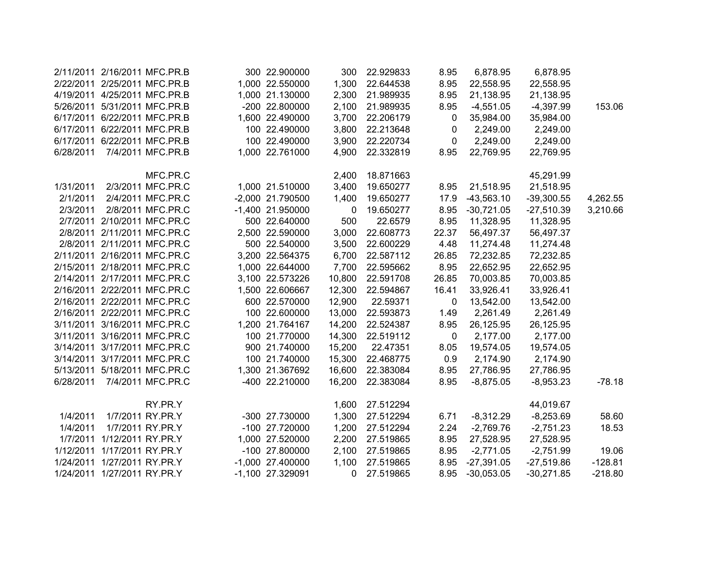| 2/11/2011 |                             | 2/16/2011 MFC.PR.B           | 300 22.900000      | 300    | 22.929833 | 8.95  | 6,878.95     | 6,878.95     |           |
|-----------|-----------------------------|------------------------------|--------------------|--------|-----------|-------|--------------|--------------|-----------|
| 2/22/2011 |                             | 2/25/2011 MFC.PR.B           | 1,000 22.550000    | 1,300  | 22.644538 | 8.95  | 22,558.95    | 22,558.95    |           |
| 4/19/2011 |                             | 4/25/2011 MFC.PR.B           | 1,000 21.130000    | 2,300  | 21.989935 | 8.95  | 21,138.95    | 21,138.95    |           |
|           |                             | 5/26/2011 5/31/2011 MFC.PR.B | -200 22.800000     | 2,100  | 21.989935 | 8.95  | $-4,551.05$  | $-4,397.99$  | 153.06    |
| 6/17/2011 |                             | 6/22/2011 MFC.PR.B           | 1,600 22.490000    | 3,700  | 22.206179 | 0     | 35,984.00    | 35,984.00    |           |
| 6/17/2011 |                             | 6/22/2011 MFC.PR.B           | 100 22.490000      | 3,800  | 22.213648 | 0     | 2,249.00     | 2,249.00     |           |
| 6/17/2011 |                             | 6/22/2011 MFC.PR.B           | 100 22.490000      | 3,900  | 22.220734 | 0     | 2,249.00     | 2,249.00     |           |
| 6/28/2011 |                             | 7/4/2011 MFC.PR.B            | 1,000 22.761000    | 4,900  | 22.332819 | 8.95  | 22,769.95    | 22,769.95    |           |
|           |                             | MFC.PR.C                     |                    | 2,400  | 18.871663 |       |              | 45,291.99    |           |
| 1/31/2011 |                             | 2/3/2011 MFC.PR.C            | 1,000 21.510000    | 3,400  | 19.650277 | 8.95  | 21,518.95    | 21,518.95    |           |
| 2/1/2011  |                             | 2/4/2011 MFC.PR.C            | -2,000 21.790500   | 1,400  | 19.650277 | 17.9  | $-43,563.10$ | $-39,300.55$ | 4,262.55  |
| 2/3/2011  |                             | 2/8/2011 MFC.PR.C            | -1,400 21.950000   | 0      | 19.650277 | 8.95  | $-30,721.05$ | $-27,510.39$ | 3,210.66  |
| 2/7/2011  |                             | 2/10/2011 MFC.PR.C           | 500 22.640000      | 500    | 22.6579   | 8.95  | 11,328.95    | 11,328.95    |           |
| 2/8/2011  |                             | 2/11/2011 MFC.PR.C           | 2,500 22.590000    | 3,000  | 22.608773 | 22.37 | 56,497.37    | 56,497.37    |           |
|           |                             | 2/8/2011 2/11/2011 MFC.PR.C  | 500 22.540000      | 3,500  | 22.600229 | 4.48  | 11,274.48    | 11,274.48    |           |
|           |                             | 2/11/2011 2/16/2011 MFC.PR.C | 3,200 22.564375    | 6,700  | 22.587112 | 26.85 | 72,232.85    | 72,232.85    |           |
|           |                             | 2/15/2011 2/18/2011 MFC.PR.C | 1,000 22.644000    | 7,700  | 22.595662 | 8.95  | 22,652.95    | 22,652.95    |           |
|           |                             | 2/14/2011 2/17/2011 MFC.PR.C | 3,100 22.573226    | 10,800 | 22.591708 | 26.85 | 70,003.85    | 70,003.85    |           |
| 2/16/2011 |                             | 2/22/2011 MFC.PR.C           | 1,500 22.606667    | 12,300 | 22.594867 | 16.41 | 33,926.41    | 33,926.41    |           |
| 2/16/2011 |                             | 2/22/2011 MFC.PR.C           | 600 22.570000      | 12,900 | 22.59371  | 0     | 13,542.00    | 13,542.00    |           |
|           |                             | 2/16/2011 2/22/2011 MFC.PR.C | 100 22.600000      | 13,000 | 22.593873 | 1.49  | 2,261.49     | 2,261.49     |           |
|           |                             | 3/11/2011 3/16/2011 MFC.PR.C | 1,200 21.764167    | 14,200 | 22.524387 | 8.95  | 26,125.95    | 26,125.95    |           |
|           |                             | 3/11/2011 3/16/2011 MFC.PR.C | 100 21.770000      | 14,300 | 22.519112 | 0     | 2,177.00     | 2,177.00     |           |
|           |                             | 3/14/2011 3/17/2011 MFC.PR.C | 900 21.740000      | 15,200 | 22.47351  | 8.05  | 19,574.05    | 19,574.05    |           |
|           |                             | 3/14/2011 3/17/2011 MFC.PR.C | 100 21.740000      | 15,300 | 22.468775 | 0.9   | 2,174.90     | 2,174.90     |           |
|           |                             | 5/13/2011 5/18/2011 MFC.PR.C | 1,300 21.367692    | 16,600 | 22.383084 | 8.95  | 27,786.95    | 27,786.95    |           |
| 6/28/2011 |                             | 7/4/2011 MFC.PR.C            | -400 22.210000     | 16,200 | 22.383084 | 8.95  | $-8,875.05$  | $-8,953.23$  | $-78.18$  |
|           |                             | RY.PR.Y                      |                    | 1,600  | 27.512294 |       |              | 44,019.67    |           |
| 1/4/2011  |                             | 1/7/2011 RY.PR.Y             | -300 27.730000     | 1,300  | 27.512294 | 6.71  | $-8,312.29$  | $-8,253.69$  | 58.60     |
| 1/4/2011  |                             | 1/7/2011 RY.PR.Y             | -100 27.720000     | 1,200  | 27.512294 | 2.24  | $-2,769.76$  | $-2,751.23$  | 18.53     |
| 1/7/2011  | 1/12/2011 RY.PR.Y           |                              | 1,000 27.520000    | 2,200  | 27.519865 | 8.95  | 27,528.95    | 27,528.95    |           |
| 1/12/2011 | 1/17/2011 RY.PR.Y           |                              | -100 27.800000     | 2,100  | 27.519865 | 8.95  | $-2,771.05$  | $-2,751.99$  | 19.06     |
| 1/24/2011 | 1/27/2011 RY.PR.Y           |                              | $-1,000$ 27.400000 | 1,100  | 27.519865 | 8.95  | $-27,391.05$ | $-27,519.86$ | $-128.81$ |
|           | 1/24/2011 1/27/2011 RY.PR.Y |                              | -1,100 27.329091   | 0      | 27.519865 | 8.95  | $-30,053.05$ | $-30,271.85$ | $-218.80$ |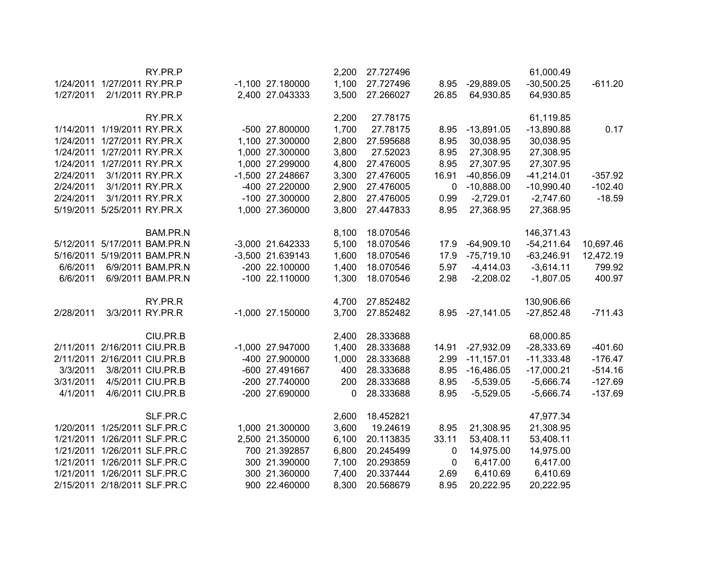|           |                              | RY.PR.P                      |                    | 2,200 | 27.727496 |       |              | 61,000.49    |           |
|-----------|------------------------------|------------------------------|--------------------|-------|-----------|-------|--------------|--------------|-----------|
|           | 1/24/2011 1/27/2011 RY.PR.P  |                              | $-1,100$ 27.180000 | 1,100 | 27.727496 | 8.95  | $-29,889.05$ | $-30,500.25$ | $-611.20$ |
| 1/27/2011 |                              | 2/1/2011 RY.PR.P             | 2,400 27.043333    | 3,500 | 27.266027 | 26.85 | 64,930.85    | 64,930.85    |           |
|           |                              | RY.PR.X                      |                    | 2,200 | 27.78175  |       |              | 61,119.85    |           |
|           | 1/14/2011 1/19/2011 RY.PR.X  |                              | -500 27.800000     | 1,700 | 27.78175  | 8.95  | $-13,891.05$ | $-13,890.88$ | 0.17      |
|           | 1/24/2011 1/27/2011 RY.PR.X  |                              | 1,100 27.300000    | 2,800 | 27.595688 | 8.95  | 30,038.95    | 30,038.95    |           |
|           | 1/24/2011 1/27/2011 RY.PR.X  |                              | 1,000 27.300000    | 3,800 | 27.52023  | 8.95  | 27,308.95    | 27,308.95    |           |
|           | 1/24/2011 1/27/2011 RY.PR.X  |                              | 1,000 27.299000    | 4,800 | 27.476005 | 8.95  | 27,307.95    | 27,307.95    |           |
| 2/24/2011 |                              | 3/1/2011 RY.PR.X             | -1,500 27.248667   | 3,300 | 27.476005 | 16.91 | $-40,856.09$ | $-41,214.01$ | $-357.92$ |
| 2/24/2011 |                              | 3/1/2011 RY.PR.X             | -400 27.220000     | 2,900 | 27.476005 | 0     | $-10,888.00$ | $-10,990.40$ | $-102.40$ |
| 2/24/2011 |                              | 3/1/2011 RY.PR.X             | -100 27.300000     | 2,800 | 27.476005 | 0.99  | $-2,729.01$  | $-2,747.60$  | $-18.59$  |
|           | 5/19/2011 5/25/2011 RY.PR.X  |                              | 1,000 27.360000    | 3,800 | 27.447833 | 8.95  | 27,368.95    | 27,368.95    |           |
|           |                              | BAM.PR.N                     |                    | 8,100 | 18.070546 |       |              | 146,371.43   |           |
| 5/12/2011 |                              | 5/17/2011 BAM.PR.N           | -3,000 21.642333   | 5,100 | 18.070546 | 17.9  | $-64,909.10$ | $-54,211.64$ | 10,697.46 |
| 5/16/2011 |                              | 5/19/2011 BAM.PR.N           | -3,500 21.639143   | 1,600 | 18.070546 | 17.9  | $-75,719.10$ | $-63,246.91$ | 12,472.19 |
| 6/6/2011  |                              | 6/9/2011 BAM.PR.N            | -200 22.100000     | 1,400 | 18.070546 | 5.97  | $-4,414.03$  | $-3,614.11$  | 799.92    |
| 6/6/2011  |                              | 6/9/2011 BAM.PR.N            | -100 22.110000     | 1,300 | 18.070546 | 2.98  | $-2,208.02$  | $-1,807.05$  | 400.97    |
|           |                              | RY.PR.R                      |                    | 4,700 | 27.852482 |       |              | 130,906.66   |           |
| 2/28/2011 |                              | 3/3/2011 RY.PR.R             | $-1,000$ 27.150000 | 3,700 | 27.852482 | 8.95  | $-27,141.05$ | $-27,852.48$ | $-711.43$ |
|           |                              | CIU.PR.B                     |                    | 2,400 | 28.333688 |       |              | 68,000.85    |           |
|           | 2/11/2011 2/16/2011 CIU.PR.B |                              | -1,000 27.947000   | 1,400 | 28.333688 | 14.91 | $-27,932.09$ | $-28,333.69$ | $-401.60$ |
|           | 2/11/2011 2/16/2011 CIU.PR.B |                              | -400 27.900000     | 1,000 | 28.333688 | 2.99  | $-11,157.01$ | $-11,333.48$ | $-176.47$ |
| 3/3/2011  |                              | 3/8/2011 CIU.PR.B            | -600 27.491667     | 400   | 28.333688 | 8.95  | $-16,486.05$ | $-17,000.21$ | $-514.16$ |
| 3/31/2011 |                              | 4/5/2011 CIU.PR.B            | -200 27.740000     | 200   | 28.333688 | 8.95  | $-5,539.05$  | $-5,666.74$  | $-127.69$ |
| 4/1/2011  |                              | 4/6/2011 CIU.PR.B            | -200 27.690000     | 0     | 28.333688 | 8.95  | $-5,529.05$  | $-5,666.74$  | $-137.69$ |
|           |                              | SLF.PR.C                     |                    | 2,600 | 18.452821 |       |              | 47,977.34    |           |
|           |                              | 1/20/2011 1/25/2011 SLF.PR.C | 1,000 21.300000    | 3,600 | 19.24619  | 8.95  | 21,308.95    | 21,308.95    |           |
|           |                              | 1/21/2011 1/26/2011 SLF.PR.C | 2,500 21.350000    | 6,100 | 20.113835 | 33.11 | 53,408.11    | 53,408.11    |           |
|           |                              | 1/21/2011 1/26/2011 SLF.PR.C | 700 21.392857      | 6,800 | 20.245499 | 0     | 14,975.00    | 14,975.00    |           |
|           |                              | 1/21/2011 1/26/2011 SLF.PR.C | 300 21.390000      | 7,100 | 20.293859 | 0     | 6,417.00     | 6,417.00     |           |
|           |                              | 1/21/2011 1/26/2011 SLF.PR.C | 300 21.360000      | 7,400 | 20.337444 | 2.69  | 6,410.69     | 6,410.69     |           |
|           | 2/15/2011 2/18/2011 SLF.PR.C |                              | 900 22.460000      | 8,300 | 20.568679 | 8.95  | 20,222.95    | 20,222.95    |           |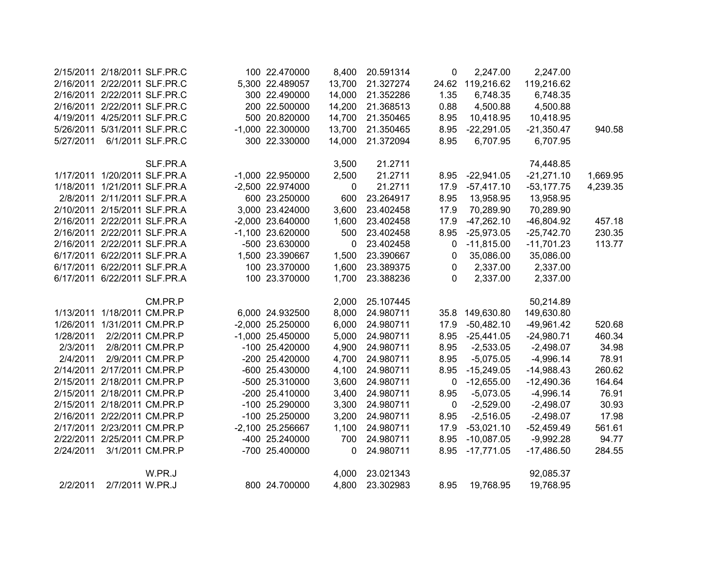| 2/15/2011 |                              | 2/18/2011 SLF.PR.C           | 100 22.470000      | 8,400  | 20.591314 | 0     | 2,247.00     | 2,247.00     |          |
|-----------|------------------------------|------------------------------|--------------------|--------|-----------|-------|--------------|--------------|----------|
| 2/16/2011 |                              | 2/22/2011 SLF.PR.C           | 5,300 22.489057    | 13,700 | 21.327274 | 24.62 | 119,216.62   | 119,216.62   |          |
| 2/16/2011 |                              | 2/22/2011 SLF.PR.C           | 300 22.490000      | 14,000 | 21.352286 | 1.35  | 6,748.35     | 6,748.35     |          |
| 2/16/2011 |                              | 2/22/2011 SLF.PR.C           | 200 22.500000      | 14,200 | 21.368513 | 0.88  | 4,500.88     | 4,500.88     |          |
| 4/19/2011 |                              | 4/25/2011 SLF.PR.C           | 500 20.820000      | 14,700 | 21.350465 | 8.95  | 10,418.95    | 10,418.95    |          |
| 5/26/2011 |                              | 5/31/2011 SLF.PR.C           | $-1,000$ 22.300000 | 13,700 | 21.350465 | 8.95  | $-22,291.05$ | $-21,350.47$ | 940.58   |
| 5/27/2011 |                              | 6/1/2011 SLF.PR.C            | 300 22.330000      | 14,000 | 21.372094 | 8.95  | 6,707.95     | 6,707.95     |          |
|           |                              | SLF.PR.A                     |                    | 3,500  | 21.2711   |       |              | 74,448.85    |          |
| 1/17/2011 |                              | 1/20/2011 SLF.PR.A           | -1,000 22.950000   | 2,500  | 21.2711   | 8.95  | $-22,941.05$ | $-21,271.10$ | 1,669.95 |
| 1/18/2011 |                              | 1/21/2011 SLF.PR.A           | -2,500 22.974000   | 0      | 21.2711   | 17.9  | $-57,417.10$ | $-53,177.75$ | 4,239.35 |
| 2/8/2011  |                              | 2/11/2011 SLF.PR.A           | 600 23.250000      | 600    | 23.264917 | 8.95  | 13,958.95    | 13,958.95    |          |
|           | 2/10/2011 2/15/2011 SLF.PR.A |                              | 3,000 23.424000    | 3,600  | 23.402458 | 17.9  | 70,289.90    | 70,289.90    |          |
| 2/16/2011 |                              | 2/22/2011 SLF.PR.A           | -2,000 23.640000   | 1,600  | 23.402458 | 17.9  | $-47,262.10$ | $-46,804.92$ | 457.18   |
|           |                              | 2/16/2011 2/22/2011 SLF.PR.A | -1,100 23.620000   | 500    | 23.402458 | 8.95  | $-25,973.05$ | $-25,742.70$ | 230.35   |
|           |                              | 2/16/2011 2/22/2011 SLF.PR.A | -500 23.630000     | 0      | 23.402458 | 0     | $-11,815.00$ | $-11,701.23$ | 113.77   |
|           |                              | 6/17/2011 6/22/2011 SLF.PR.A | 1,500 23.390667    | 1,500  | 23.390667 | 0     | 35,086.00    | 35,086.00    |          |
|           |                              | 6/17/2011 6/22/2011 SLF.PR.A | 100 23.370000      | 1,600  | 23.389375 | 0     | 2,337.00     | 2,337.00     |          |
|           | 6/17/2011 6/22/2011 SLF.PR.A |                              | 100 23.370000      | 1,700  | 23.388236 | 0     | 2,337.00     | 2,337.00     |          |
|           |                              | CM.PR.P                      |                    | 2,000  | 25.107445 |       |              | 50,214.89    |          |
| 1/13/2011 |                              | 1/18/2011 CM.PR.P            | 6,000 24.932500    | 8,000  | 24.980711 | 35.8  | 149,630.80   | 149,630.80   |          |
| 1/26/2011 |                              | 1/31/2011 CM.PR.P            | -2,000 25.250000   | 6,000  | 24.980711 | 17.9  | $-50,482.10$ | $-49,961.42$ | 520.68   |
| 1/28/2011 |                              | 2/2/2011 CM.PR.P             | $-1,000$ 25.450000 | 5,000  | 24.980711 | 8.95  | $-25,441.05$ | $-24,980.71$ | 460.34   |
| 2/3/2011  |                              | 2/8/2011 CM.PR.P             | -100 25.420000     | 4,900  | 24.980711 | 8.95  | $-2,533.05$  | $-2,498.07$  | 34.98    |
| 2/4/2011  |                              | 2/9/2011 CM.PR.P             | -200 25.420000     | 4,700  | 24.980711 | 8.95  | $-5,075.05$  | $-4,996.14$  | 78.91    |
| 2/14/2011 | 2/17/2011 CM.PR.P            |                              | -600 25.430000     | 4,100  | 24.980711 | 8.95  | $-15,249.05$ | $-14,988.43$ | 260.62   |
| 2/15/2011 | 2/18/2011 CM.PR.P            |                              | -500 25.310000     | 3,600  | 24.980711 | 0     | $-12,655.00$ | $-12,490.36$ | 164.64   |
| 2/15/2011 | 2/18/2011 CM.PR.P            |                              | -200 25.410000     | 3,400  | 24.980711 | 8.95  | $-5,073.05$  | $-4,996.14$  | 76.91    |
| 2/15/2011 | 2/18/2011 CM.PR.P            |                              | -100 25.290000     | 3,300  | 24.980711 | 0     | $-2,529.00$  | $-2,498.07$  | 30.93    |
| 2/16/2011 | 2/22/2011 CM.PR.P            |                              | -100 25.250000     | 3,200  | 24.980711 | 8.95  | $-2,516.05$  | $-2,498.07$  | 17.98    |
| 2/17/2011 | 2/23/2011 CM.PR.P            |                              | -2,100 25.256667   | 1,100  | 24.980711 | 17.9  | $-53,021.10$ | $-52,459.49$ | 561.61   |
| 2/22/2011 | 2/25/2011 CM.PR.P            |                              | -400 25.240000     | 700    | 24.980711 | 8.95  | $-10,087.05$ | $-9,992.28$  | 94.77    |
| 2/24/2011 |                              | 3/1/2011 CM.PR.P             | -700 25.400000     | 0      | 24.980711 | 8.95  | $-17,771.05$ | $-17,486.50$ | 284.55   |
|           |                              | W.PR.J                       |                    | 4,000  | 23.021343 |       |              | 92,085.37    |          |
| 2/2/2011  | 2/7/2011 W.PR.J              |                              | 800 24.700000      | 4,800  | 23.302983 | 8.95  | 19,768.95    | 19,768.95    |          |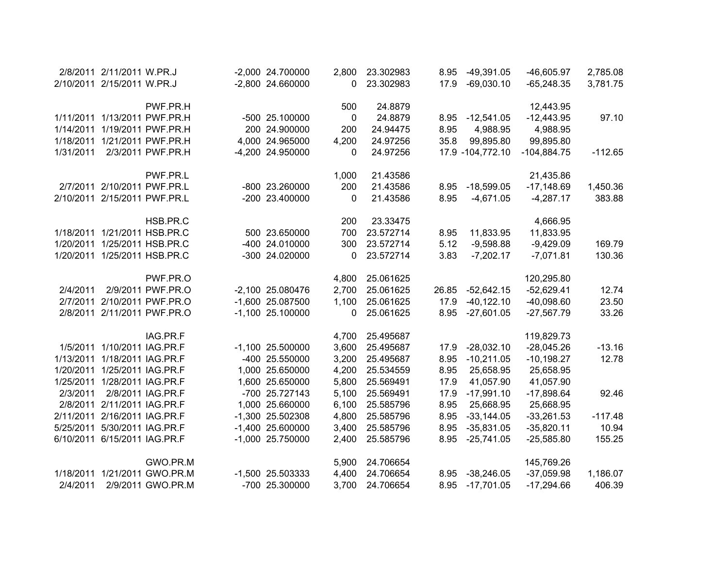|           | 2/8/2011 2/11/2011 W.PR.J    |                              | -2,000 24.700000   | 2,800    | 23.302983 | 8.95  | $-49,391.05$        | $-46,605.97$  | 2,785.08  |
|-----------|------------------------------|------------------------------|--------------------|----------|-----------|-------|---------------------|---------------|-----------|
|           | 2/10/2011 2/15/2011 W.PR.J   |                              | -2,800 24.660000   | 0        | 23.302983 | 17.9  | $-69,030.10$        | $-65,248.35$  | 3,781.75  |
|           |                              |                              |                    |          |           |       |                     |               |           |
|           |                              | PWF.PR.H                     |                    | 500      | 24.8879   |       |                     | 12,443.95     |           |
|           |                              | 1/11/2011 1/13/2011 PWF.PR.H | -500 25.100000     | 0        | 24.8879   | 8.95  | $-12,541.05$        | $-12,443.95$  | 97.10     |
| 1/14/2011 |                              | 1/19/2011 PWF.PR.H           | 200 24.900000      | 200      | 24.94475  | 8.95  | 4,988.95            | 4,988.95      |           |
| 1/18/2011 |                              | 1/21/2011 PWF.PR.H           | 4,000 24.965000    | 4,200    | 24.97256  | 35.8  | 99,895.80           | 99,895.80     |           |
| 1/31/2011 |                              | 2/3/2011 PWF.PR.H            | -4,200 24.950000   | $\Omega$ | 24.97256  |       | 17.9 - 104, 772. 10 | $-104,884.75$ | $-112.65$ |
|           |                              | PWF.PR.L                     |                    | 1,000    | 21.43586  |       |                     | 21,435.86     |           |
|           |                              | 2/7/2011 2/10/2011 PWF.PR.L  | -800 23.260000     | 200      | 21.43586  | 8.95  | $-18,599.05$        | $-17,148.69$  | 1,450.36  |
|           |                              | 2/10/2011 2/15/2011 PWF.PR.L | -200 23.400000     | $\Omega$ | 21.43586  | 8.95  | $-4,671.05$         | $-4,287.17$   | 383.88    |
|           |                              | HSB.PR.C                     |                    | 200      | 23.33475  |       |                     | 4,666.95      |           |
|           |                              | 1/18/2011 1/21/2011 HSB.PR.C | 500 23.650000      | 700      | 23.572714 | 8.95  | 11,833.95           | 11,833.95     |           |
|           |                              | 1/20/2011 1/25/2011 HSB.PR.C | -400 24.010000     | 300      | 23.572714 | 5.12  | $-9,598.88$         | $-9,429.09$   | 169.79    |
|           |                              | 1/20/2011 1/25/2011 HSB.PR.C | -300 24.020000     | 0        | 23.572714 | 3.83  | $-7,202.17$         | $-7,071.81$   | 130.36    |
|           |                              | PWF.PR.O                     |                    |          | 25.061625 |       |                     |               |           |
|           |                              |                              |                    | 4,800    |           |       |                     | 120,295.80    |           |
| 2/4/2011  |                              | 2/9/2011 PWF.PR.O            | -2,100 25.080476   | 2,700    | 25.061625 | 26.85 | $-52,642.15$        | $-52,629.41$  | 12.74     |
| 2/7/2011  |                              | 2/10/2011 PWF.PR.O           | -1,600 25.087500   | 1,100    | 25.061625 | 17.9  | $-40, 122.10$       | $-40,098.60$  | 23.50     |
| 2/8/2011  |                              | 2/11/2011 PWF.PR.O           | $-1,100$ 25.100000 | 0        | 25.061625 | 8.95  | $-27,601.05$        | $-27,567.79$  | 33.26     |
|           |                              | IAG.PR.F                     |                    | 4,700    | 25.495687 |       |                     | 119,829.73    |           |
| 1/5/2011  |                              | 1/10/2011 IAG.PR.F           | $-1,100$ 25.500000 | 3,600    | 25.495687 | 17.9  | $-28,032.10$        | $-28,045.26$  | $-13.16$  |
| 1/13/2011 |                              | 1/18/2011 IAG.PR.F           | -400 25.550000     | 3,200    | 25.495687 | 8.95  | $-10,211.05$        | $-10,198.27$  | 12.78     |
| 1/20/2011 |                              | 1/25/2011 IAG.PR.F           | 1,000 25.650000    | 4,200    | 25.534559 | 8.95  | 25,658.95           | 25,658.95     |           |
|           | 1/25/2011 1/28/2011 IAG.PR.F |                              | 1,600 25.650000    | 5,800    | 25.569491 | 17.9  | 41,057.90           | 41,057.90     |           |
| 2/3/2011  |                              | 2/8/2011 IAG.PR.F            | -700 25.727143     | 5,100    | 25.569491 | 17.9  | $-17,991.10$        | $-17,898.64$  | 92.46     |
|           | 2/8/2011 2/11/2011 IAG.PR.F  |                              | 1,000 25.660000    | 6,100    | 25.585796 | 8.95  | 25,668.95           | 25,668.95     |           |
| 2/11/2011 | 2/16/2011 IAG.PR.F           |                              | -1,300 25.502308   | 4,800    | 25.585796 | 8.95  | $-33,144.05$        | $-33,261.53$  | $-117.48$ |
|           | 5/25/2011 5/30/2011 IAG.PR.F |                              | $-1,400$ 25.600000 | 3,400    | 25.585796 | 8.95  | $-35,831.05$        | $-35,820.11$  | 10.94     |
|           | 6/10/2011 6/15/2011 IAG.PR.F |                              | $-1,000$ 25.750000 | 2,400    | 25.585796 | 8.95  | $-25,741.05$        | $-25,585.80$  | 155.25    |
|           |                              | GWO.PR.M                     |                    | 5,900    | 24.706654 |       |                     | 145,769.26    |           |
|           |                              | 1/18/2011 1/21/2011 GWO.PR.M | -1,500 25.503333   | 4,400    | 24.706654 | 8.95  | $-38,246.05$        | $-37,059.98$  | 1,186.07  |
| 2/4/2011  |                              | 2/9/2011 GWO.PR.M            | -700 25.300000     | 3,700    | 24.706654 | 8.95  | $-17,701.05$        | $-17,294.66$  | 406.39    |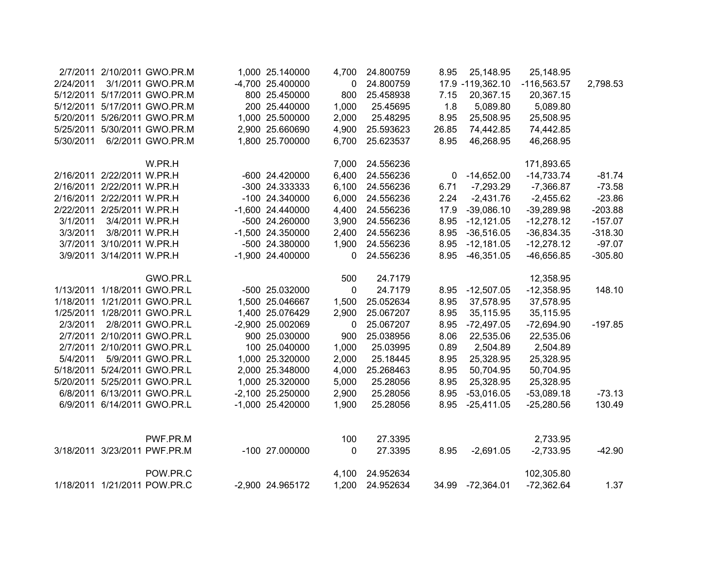|           |                            | 2/7/2011 2/10/2011 GWO.PR.M  | 1,000 25.140000  | 4,700        | 24.800759 | 8.95  | 25,148.95        | 25,148.95     |           |
|-----------|----------------------------|------------------------------|------------------|--------------|-----------|-------|------------------|---------------|-----------|
| 2/24/2011 |                            | 3/1/2011 GWO.PR.M            | -4,700 25.400000 | 0            | 24.800759 |       | 17.9 -119,362.10 | $-116,563.57$ | 2,798.53  |
|           |                            | 5/12/2011 5/17/2011 GWO.PR.M | 800 25.450000    | 800          | 25.458938 | 7.15  | 20,367.15        | 20,367.15     |           |
|           |                            | 5/12/2011 5/17/2011 GWO.PR.M | 200 25.440000    | 1,000        | 25.45695  | 1.8   | 5,089.80         | 5,089.80      |           |
|           |                            | 5/20/2011 5/26/2011 GWO.PR.M | 1,000 25.500000  | 2,000        | 25.48295  | 8.95  | 25,508.95        | 25,508.95     |           |
| 5/25/2011 |                            | 5/30/2011 GWO.PR.M           | 2,900 25.660690  | 4,900        | 25.593623 | 26.85 | 74,442.85        | 74,442.85     |           |
| 5/30/2011 |                            | 6/2/2011 GWO.PR.M            | 1,800 25.700000  | 6,700        | 25.623537 | 8.95  | 46,268.95        | 46,268.95     |           |
|           |                            | W.PR.H                       |                  | 7,000        | 24.556236 |       |                  | 171,893.65    |           |
|           | 2/16/2011 2/22/2011 W.PR.H |                              | -600 24.420000   | 6,400        | 24.556236 | 0     | $-14,652.00$     | $-14,733.74$  | $-81.74$  |
|           | 2/16/2011 2/22/2011 W.PR.H |                              | -300 24.333333   | 6,100        | 24.556236 | 6.71  | $-7,293.29$      | $-7,366.87$   | $-73.58$  |
|           | 2/16/2011 2/22/2011 W.PR.H |                              | -100 24.340000   | 6,000        | 24.556236 | 2.24  | $-2,431.76$      | $-2,455.62$   | $-23.86$  |
|           | 2/22/2011 2/25/2011 W.PR.H |                              | -1,600 24.440000 | 4,400        | 24.556236 | 17.9  | $-39,086.10$     | $-39,289.98$  | $-203.88$ |
| 3/1/2011  | 3/4/2011 W.PR.H            |                              | -500 24.260000   | 3,900        | 24.556236 | 8.95  | $-12,121.05$     | $-12,278.12$  | $-157.07$ |
| 3/3/2011  | 3/8/2011 W.PR.H            |                              | -1,500 24.350000 | 2,400        | 24.556236 | 8.95  | $-36,516.05$     | $-36,834.35$  | $-318.30$ |
|           | 3/7/2011 3/10/2011 W.PR.H  |                              | -500 24.380000   | 1,900        | 24.556236 | 8.95  | $-12,181.05$     | $-12,278.12$  | $-97.07$  |
|           | 3/9/2011 3/14/2011 W.PR.H  |                              | -1,900 24.400000 | $\mathbf{0}$ | 24.556236 | 8.95  | $-46,351.05$     | $-46,656.85$  | $-305.80$ |
|           |                            | GWO.PR.L                     |                  | 500          | 24.7179   |       |                  | 12,358.95     |           |
|           |                            | 1/13/2011 1/18/2011 GWO.PR.L | -500 25.032000   | $\mathbf{0}$ | 24.7179   | 8.95  | $-12,507.05$     | $-12,358.95$  | 148.10    |
|           |                            | 1/18/2011 1/21/2011 GWO.PR.L | 1,500 25.046667  | 1,500        | 25.052634 | 8.95  | 37,578.95        | 37,578.95     |           |
|           |                            | 1/25/2011 1/28/2011 GWO.PR.L | 1,400 25.076429  | 2,900        | 25.067207 | 8.95  | 35,115.95        | 35,115.95     |           |
| 2/3/2011  |                            | 2/8/2011 GWO.PR.L            | -2,900 25.002069 | $\mathbf 0$  | 25.067207 | 8.95  | $-72,497.05$     | $-72,694.90$  | $-197.85$ |
|           |                            | 2/7/2011 2/10/2011 GWO.PR.L  | 900 25.030000    | 900          | 25.038956 | 8.06  | 22,535.06        | 22,535.06     |           |
|           |                            | 2/7/2011 2/10/2011 GWO.PR.L  | 100 25.040000    | 1,000        | 25.03995  | 0.89  | 2,504.89         | 2,504.89      |           |
| 5/4/2011  |                            | 5/9/2011 GWO.PR.L            | 1,000 25.320000  | 2,000        | 25.18445  | 8.95  | 25,328.95        | 25,328.95     |           |
|           |                            | 5/18/2011 5/24/2011 GWO.PR.L | 2,000 25.348000  | 4,000        | 25.268463 | 8.95  | 50,704.95        | 50,704.95     |           |
| 5/20/2011 |                            | 5/25/2011 GWO.PR.L           | 1,000 25.320000  | 5,000        | 25.28056  | 8.95  | 25,328.95        | 25,328.95     |           |
|           |                            | 6/8/2011 6/13/2011 GWO.PR.L  | -2,100 25.250000 | 2,900        | 25.28056  | 8.95  | $-53,016.05$     | $-53,089.18$  | $-73.13$  |
|           |                            | 6/9/2011 6/14/2011 GWO.PR.L  | -1,000 25.420000 | 1,900        | 25.28056  | 8.95  | $-25,411.05$     | $-25,280.56$  | 130.49    |
|           |                            | PWF.PR.M                     |                  | 100          | 27.3395   |       |                  | 2,733.95      |           |
|           |                            | 3/18/2011 3/23/2011 PWF.PR.M | -100 27.000000   | $\mathbf 0$  | 27.3395   | 8.95  | $-2,691.05$      | $-2,733.95$   | $-42.90$  |
|           |                            |                              |                  |              |           |       |                  |               |           |
|           |                            | POW.PR.C                     |                  | 4,100        | 24.952634 |       |                  | 102,305.80    |           |
|           |                            | 1/18/2011 1/21/2011 POW.PR.C | -2,900 24.965172 | 1,200        | 24.952634 |       | 34.99 -72,364.01 | $-72,362.64$  | 1.37      |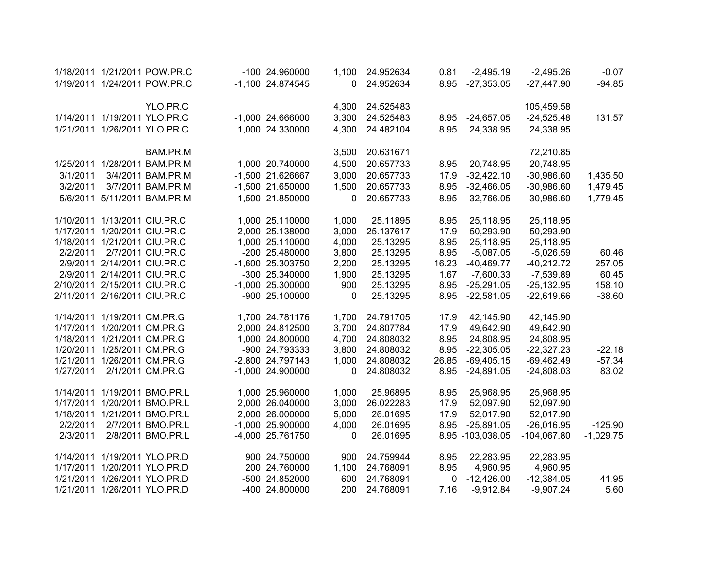|           | 1/18/2011 1/21/2011 POW.PR.C | -100 24.960000     | 1,100 | 24.952634 | 0.81  | $-2,495.19$      | $-2,495.26$   | $-0.07$     |
|-----------|------------------------------|--------------------|-------|-----------|-------|------------------|---------------|-------------|
|           | 1/19/2011 1/24/2011 POW.PR.C | -1,100 24.874545   | 0     | 24.952634 | 8.95  | $-27,353.05$     | $-27,447.90$  | $-94.85$    |
|           |                              |                    |       |           |       |                  |               |             |
|           | YLO.PR.C                     |                    | 4,300 | 24.525483 |       |                  | 105,459.58    |             |
|           | 1/14/2011 1/19/2011 YLO.PR.C | $-1,000$ 24.666000 | 3,300 | 24.525483 | 8.95  | $-24,657.05$     | $-24,525.48$  | 131.57      |
|           | 1/21/2011 1/26/2011 YLO.PR.C | 1,000 24.330000    | 4,300 | 24.482104 | 8.95  | 24,338.95        | 24,338.95     |             |
|           |                              |                    |       |           |       |                  |               |             |
|           | BAM.PR.M                     |                    | 3,500 | 20.631671 |       |                  | 72,210.85     |             |
| 1/25/2011 | 1/28/2011 BAM.PR.M           | 1,000 20.740000    | 4,500 | 20.657733 | 8.95  | 20,748.95        | 20,748.95     |             |
| 3/1/2011  | 3/4/2011 BAM.PR.M            | -1,500 21.626667   | 3,000 | 20.657733 | 17.9  | $-32,422.10$     | $-30,986.60$  | 1,435.50    |
| 3/2/2011  | 3/7/2011 BAM.PR.M            | $-1,500$ 21.650000 | 1,500 | 20.657733 | 8.95  | $-32,466.05$     | $-30,986.60$  | 1,479.45    |
|           | 5/6/2011 5/11/2011 BAM.PR.M  | $-1,500$ 21.850000 | 0     | 20.657733 | 8.95  | $-32,766.05$     | $-30,986.60$  | 1,779.45    |
|           |                              |                    |       |           |       |                  |               |             |
|           | 1/10/2011 1/13/2011 CIU.PR.C | 1,000 25.110000    | 1,000 | 25.11895  | 8.95  | 25,118.95        | 25,118.95     |             |
|           | 1/17/2011 1/20/2011 CIU.PR.C | 2,000 25.138000    | 3,000 | 25.137617 | 17.9  | 50,293.90        | 50,293.90     |             |
|           | 1/18/2011 1/21/2011 CIU.PR.C | 1,000 25.110000    | 4,000 | 25.13295  | 8.95  | 25,118.95        | 25,118.95     |             |
| 2/2/2011  | 2/7/2011 CIU.PR.C            | -200 25.480000     | 3,800 | 25.13295  | 8.95  | $-5,087.05$      | $-5,026.59$   | 60.46       |
|           | 2/9/2011 2/14/2011 CIU.PR.C  | -1,600 25.303750   | 2,200 | 25.13295  | 16.23 | $-40,469.77$     | $-40,212.72$  | 257.05      |
|           | 2/9/2011 2/14/2011 CIU.PR.C  | -300 25.340000     | 1,900 | 25.13295  | 1.67  | $-7,600.33$      | $-7,539.89$   | 60.45       |
|           | 2/10/2011 2/15/2011 CIU.PR.C | $-1,000$ 25.300000 | 900   | 25.13295  | 8.95  | $-25,291.05$     | $-25,132.95$  | 158.10      |
|           | 2/11/2011 2/16/2011 CIU.PR.C | -900 25.100000     | 0     | 25.13295  | 8.95  | $-22,581.05$     | $-22,619.66$  | $-38.60$    |
|           |                              |                    |       |           |       |                  |               |             |
|           | 1/14/2011 1/19/2011 CM.PR.G  | 1,700 24.781176    | 1,700 | 24.791705 | 17.9  | 42,145.90        | 42,145.90     |             |
|           | 1/17/2011 1/20/2011 CM.PR.G  | 2,000 24.812500    | 3,700 | 24.807784 | 17.9  | 49,642.90        | 49,642.90     |             |
|           | 1/18/2011 1/21/2011 CM.PR.G  | 1,000 24.800000    | 4,700 | 24.808032 | 8.95  | 24,808.95        | 24,808.95     |             |
|           | 1/20/2011 1/25/2011 CM.PR.G  | -900 24.793333     | 3,800 | 24.808032 | 8.95  | $-22,305.05$     | $-22,327.23$  | $-22.18$    |
|           | 1/21/2011 1/26/2011 CM.PR.G  | -2,800 24.797143   | 1,000 | 24.808032 | 26.85 | $-69,405.15$     | $-69,462.49$  | $-57.34$    |
| 1/27/2011 | 2/1/2011 CM.PR.G             | $-1,000$ 24.900000 | 0     | 24.808032 | 8.95  | $-24,891.05$     | $-24,808.03$  | 83.02       |
|           |                              |                    |       |           |       |                  |               |             |
|           | 1/14/2011 1/19/2011 BMO.PR.L | 1,000 25.960000    | 1,000 | 25.96895  | 8.95  | 25,968.95        | 25,968.95     |             |
| 1/17/2011 | 1/20/2011 BMO.PR.L           | 2,000 26.040000    | 3,000 | 26.022283 | 17.9  | 52,097.90        | 52,097.90     |             |
|           | 1/18/2011 1/21/2011 BMO.PR.L | 2,000 26.000000    | 5,000 | 26.01695  | 17.9  | 52,017.90        | 52,017.90     |             |
| 2/2/2011  | 2/7/2011 BMO.PR.L            | $-1,000$ 25.900000 | 4,000 | 26.01695  | 8.95  | $-25,891.05$     | $-26,016.95$  | $-125.90$   |
| 2/3/2011  | 2/8/2011 BMO.PR.L            | -4,000 25.761750   | 0     | 26.01695  |       | 8.95 -103,038.05 | $-104,067.80$ | $-1,029.75$ |
|           |                              |                    |       |           |       |                  |               |             |
|           | 1/14/2011 1/19/2011 YLO.PR.D | 900 24.750000      | 900   | 24.759944 | 8.95  | 22,283.95        | 22,283.95     |             |
|           | 1/17/2011 1/20/2011 YLO.PR.D | 200 24.760000      | 1,100 | 24.768091 | 8.95  | 4,960.95         | 4,960.95      |             |
|           | 1/21/2011 1/26/2011 YLO.PR.D | -500 24.852000     | 600   | 24.768091 | 0     | $-12,426.00$     | $-12,384.05$  | 41.95       |
|           | 1/21/2011 1/26/2011 YLO.PR.D | -400 24.800000     | 200   | 24.768091 | 7.16  | $-9,912.84$      | $-9,907.24$   | 5.60        |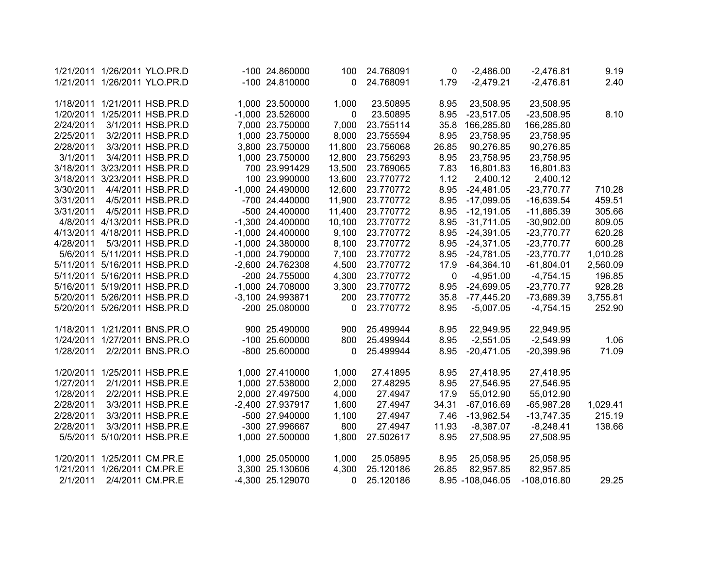|           |                   | 1/21/2011 1/26/2011 YLO.PR.D | -100 24.860000     | 100    | 24.768091 | 0     | $-2,486.00$      | $-2,476.81$   | 9.19     |
|-----------|-------------------|------------------------------|--------------------|--------|-----------|-------|------------------|---------------|----------|
|           |                   | 1/21/2011 1/26/2011 YLO.PR.D | -100 24.810000     | 0      | 24.768091 | 1.79  | $-2,479.21$      | $-2,476.81$   | 2.40     |
|           |                   |                              |                    |        |           |       |                  |               |          |
| 1/18/2011 |                   | 1/21/2011 HSB.PR.D           | 1,000 23.500000    | 1,000  | 23.50895  | 8.95  | 23,508.95        | 23,508.95     |          |
| 1/20/2011 |                   | 1/25/2011 HSB.PR.D           | -1,000 23.526000   | 0      | 23.50895  | 8.95  | $-23,517.05$     | $-23,508.95$  | 8.10     |
| 2/24/2011 |                   | 3/1/2011 HSB.PR.D            | 7,000 23.750000    | 7,000  | 23.755114 | 35.8  | 166,285.80       | 166,285.80    |          |
| 2/25/2011 |                   | 3/2/2011 HSB.PR.D            | 1,000 23.750000    | 8,000  | 23.755594 | 8.95  | 23,758.95        | 23,758.95     |          |
| 2/28/2011 |                   | 3/3/2011 HSB.PR.D            | 3,800 23.750000    | 11,800 | 23.756068 | 26.85 | 90,276.85        | 90,276.85     |          |
| 3/1/2011  |                   | 3/4/2011 HSB.PR.D            | 1,000 23.750000    | 12,800 | 23.756293 | 8.95  | 23,758.95        | 23,758.95     |          |
| 3/18/2011 |                   | 3/23/2011 HSB.PR.D           | 700 23.991429      | 13,500 | 23.769065 | 7.83  | 16,801.83        | 16,801.83     |          |
| 3/18/2011 |                   | 3/23/2011 HSB.PR.D           | 100 23.990000      | 13,600 | 23.770772 | 1.12  | 2,400.12         | 2,400.12      |          |
| 3/30/2011 |                   | 4/4/2011 HSB.PR.D            | $-1,000$ 24.490000 | 12,600 | 23.770772 | 8.95  | $-24,481.05$     | $-23,770.77$  | 710.28   |
| 3/31/2011 |                   | 4/5/2011 HSB.PR.D            | -700 24.440000     | 11,900 | 23.770772 | 8.95  | $-17,099.05$     | $-16,639.54$  | 459.51   |
| 3/31/2011 |                   | 4/5/2011 HSB.PR.D            | -500 24.400000     | 11,400 | 23.770772 | 8.95  | $-12,191.05$     | $-11,885.39$  | 305.66   |
|           |                   | 4/8/2011 4/13/2011 HSB.PR.D  | $-1,300$ 24.400000 | 10,100 | 23.770772 | 8.95  | $-31,711.05$     | $-30,902.00$  | 809.05   |
|           |                   | 4/13/2011 4/18/2011 HSB.PR.D | $-1,000$ 24.400000 | 9,100  | 23.770772 | 8.95  | $-24,391.05$     | $-23,770.77$  | 620.28   |
| 4/28/2011 |                   | 5/3/2011 HSB.PR.D            | $-1,000$ 24.380000 | 8,100  | 23.770772 | 8.95  | $-24,371.05$     | $-23,770.77$  | 600.28   |
|           |                   | 5/6/2011 5/11/2011 HSB.PR.D  | -1,000 24.790000   | 7,100  | 23.770772 | 8.95  | $-24,781.05$     | $-23,770.77$  | 1,010.28 |
|           |                   | 5/11/2011 5/16/2011 HSB.PR.D | -2,600 24.762308   | 4,500  | 23.770772 | 17.9  | $-64,364.10$     | $-61,804.01$  | 2,560.09 |
|           |                   | 5/11/2011 5/16/2011 HSB.PR.D | -200 24.755000     | 4,300  | 23.770772 | 0     | $-4,951.00$      | $-4,754.15$   | 196.85   |
|           |                   | 5/16/2011 5/19/2011 HSB.PR.D | -1,000 24.708000   | 3,300  | 23.770772 | 8.95  | $-24,699.05$     | $-23,770.77$  | 928.28   |
|           |                   | 5/20/2011 5/26/2011 HSB.PR.D | -3,100 24.993871   | 200    | 23.770772 | 35.8  | $-77,445.20$     | -73,689.39    | 3,755.81 |
|           |                   | 5/20/2011 5/26/2011 HSB.PR.D | -200 25.080000     | 0      | 23.770772 | 8.95  | $-5,007.05$      | $-4,754.15$   | 252.90   |
|           |                   |                              |                    |        |           |       |                  |               |          |
|           |                   | 1/18/2011 1/21/2011 BNS.PR.O | 900 25.490000      | 900    | 25.499944 | 8.95  | 22,949.95        | 22,949.95     |          |
| 1/24/2011 |                   | 1/27/2011 BNS.PR.O           | -100 25.600000     | 800    | 25.499944 | 8.95  | $-2,551.05$      | $-2,549.99$   | 1.06     |
| 1/28/2011 |                   | 2/2/2011 BNS.PR.O            | -800 25.600000     | 0      | 25.499944 | 8.95  | $-20,471.05$     | $-20,399.96$  | 71.09    |
|           |                   |                              |                    |        |           |       |                  |               |          |
| 1/20/2011 |                   | 1/25/2011 HSB.PR.E           | 1,000 27.410000    | 1,000  | 27.41895  | 8.95  | 27,418.95        | 27,418.95     |          |
| 1/27/2011 |                   | 2/1/2011 HSB.PR.E            | 1,000 27.538000    | 2,000  | 27.48295  | 8.95  | 27,546.95        | 27,546.95     |          |
| 1/28/2011 |                   | 2/2/2011 HSB.PR.E            | 2,000 27.497500    | 4,000  | 27.4947   | 17.9  | 55,012.90        | 55,012.90     |          |
| 2/28/2011 |                   | 3/3/2011 HSB.PR.E            | -2,400 27.937917   | 1,600  | 27.4947   | 34.31 | $-67,016.69$     | $-65,987.28$  | 1,029.41 |
| 2/28/2011 |                   | 3/3/2011 HSB.PR.E            | -500 27.940000     | 1,100  | 27.4947   | 7.46  | $-13,962.54$     | $-13,747.35$  | 215.19   |
| 2/28/2011 |                   | 3/3/2011 HSB.PR.E            | -300 27.996667     | 800    | 27.4947   | 11.93 | $-8,387.07$      | $-8,248.41$   | 138.66   |
| 5/5/2011  |                   | 5/10/2011 HSB.PR.E           | 1,000 27.500000    | 1,800  | 27.502617 | 8.95  | 27,508.95        | 27,508.95     |          |
|           |                   |                              |                    |        |           |       |                  |               |          |
| 1/20/2011 | 1/25/2011 CM.PR.E |                              | 1,000 25.050000    | 1,000  | 25.05895  | 8.95  | 25,058.95        | 25,058.95     |          |
| 1/21/2011 | 1/26/2011 CM.PR.E |                              | 3,300 25.130606    | 4,300  | 25.120186 | 26.85 | 82,957.85        | 82,957.85     |          |
| 2/1/2011  |                   | 2/4/2011 CM.PR.E             | -4,300 25.129070   | 0      | 25.120186 |       | 8.95 -108,046.05 | $-108,016.80$ | 29.25    |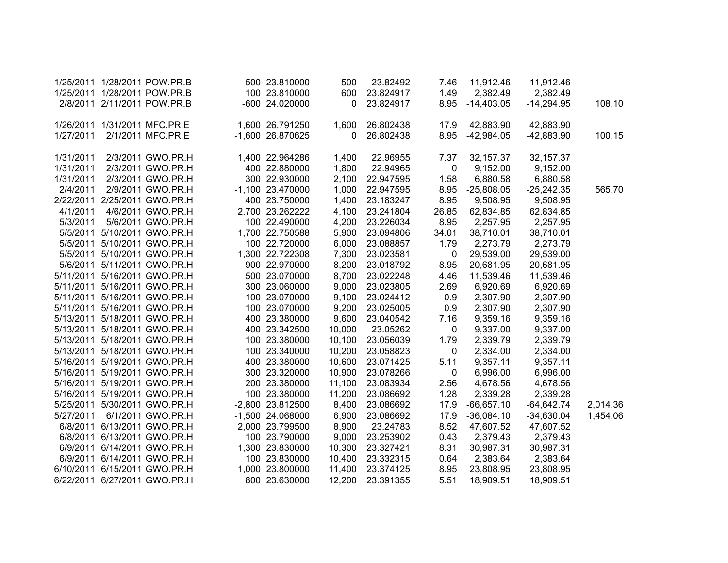|           | 1/25/2011 1/28/2011 POW.PR.B |                              | 500 23.810000    | 500          | 23.82492  | 7.46        | 11,912.46    | 11,912.46    |          |
|-----------|------------------------------|------------------------------|------------------|--------------|-----------|-------------|--------------|--------------|----------|
|           | 1/25/2011 1/28/2011 POW.PR.B |                              | 100 23.810000    | 600          | 23.824917 | 1.49        | 2,382.49     | 2,382.49     |          |
|           | 2/8/2011 2/11/2011 POW.PR.B  |                              | -600 24.020000   | 0            | 23.824917 | 8.95        | $-14,403.05$ | $-14,294.95$ | 108.10   |
|           |                              |                              |                  |              |           |             |              |              |          |
|           | 1/26/2011 1/31/2011 MFC.PR.E |                              | 1,600 26.791250  | 1,600        | 26.802438 | 17.9        | 42,883.90    | 42,883.90    |          |
| 1/27/2011 |                              | 2/1/2011 MFC.PR.E            | -1,600 26.870625 | $\mathbf{0}$ | 26.802438 | 8.95        | $-42,984.05$ | $-42,883.90$ | 100.15   |
| 1/31/2011 |                              | 2/3/2011 GWO.PR.H            | 1,400 22.964286  | 1,400        | 22.96955  | 7.37        | 32, 157.37   | 32, 157. 37  |          |
| 1/31/2011 |                              | 2/3/2011 GWO.PR.H            | 400 22.880000    | 1,800        | 22.94965  | $\mathbf 0$ | 9,152.00     | 9,152.00     |          |
| 1/31/2011 |                              | 2/3/2011 GWO.PR.H            | 300 22.930000    | 2,100        | 22.947595 | 1.58        | 6,880.58     | 6,880.58     |          |
| 2/4/2011  |                              | 2/9/2011 GWO.PR.H            | -1,100 23.470000 | 1,000        | 22.947595 | 8.95        | $-25,808.05$ | $-25,242.35$ | 565.70   |
|           | 2/22/2011 2/25/2011 GWO.PR.H |                              | 400 23.750000    | 1,400        | 23.183247 | 8.95        | 9,508.95     | 9,508.95     |          |
| 4/1/2011  |                              | 4/6/2011 GWO.PR.H            | 2,700 23.262222  | 4,100        | 23.241804 | 26.85       | 62,834.85    | 62,834.85    |          |
| 5/3/2011  |                              | 5/6/2011 GWO.PR.H            | 100 22.490000    | 4,200        | 23.226034 | 8.95        | 2,257.95     | 2,257.95     |          |
|           |                              | 5/5/2011 5/10/2011 GWO.PR.H  | 1,700 22.750588  | 5,900        | 23.094806 | 34.01       | 38,710.01    | 38,710.01    |          |
|           |                              | 5/5/2011 5/10/2011 GWO.PR.H  | 100 22.720000    | 6,000        | 23.088857 | 1.79        | 2,273.79     | 2,273.79     |          |
|           |                              | 5/5/2011 5/10/2011 GWO.PR.H  | 1,300 22.722308  | 7,300        | 23.023581 | 0           | 29,539.00    | 29,539.00    |          |
|           |                              | 5/6/2011 5/11/2011 GWO.PR.H  | 900 22.970000    | 8,200        | 23.018792 | 8.95        | 20,681.95    | 20,681.95    |          |
|           |                              | 5/11/2011 5/16/2011 GWO.PR.H | 500 23.070000    | 8,700        | 23.022248 | 4.46        | 11,539.46    | 11,539.46    |          |
|           |                              | 5/11/2011 5/16/2011 GWO.PR.H | 300 23.060000    | 9,000        | 23.023805 | 2.69        | 6,920.69     | 6,920.69     |          |
|           |                              | 5/11/2011 5/16/2011 GWO.PR.H | 100 23.070000    | 9,100        | 23.024412 | 0.9         | 2,307.90     | 2,307.90     |          |
|           |                              | 5/11/2011 5/16/2011 GWO.PR.H | 100 23.070000    | 9,200        | 23.025005 | 0.9         | 2,307.90     | 2,307.90     |          |
|           |                              | 5/13/2011 5/18/2011 GWO.PR.H | 400 23.380000    | 9,600        | 23.040542 | 7.16        | 9,359.16     | 9,359.16     |          |
|           |                              | 5/13/2011 5/18/2011 GWO.PR.H | 400 23.342500    | 10,000       | 23.05262  | 0           | 9,337.00     | 9,337.00     |          |
|           |                              | 5/13/2011 5/18/2011 GWO.PR.H | 100 23.380000    | 10,100       | 23.056039 | 1.79        | 2,339.79     | 2,339.79     |          |
|           | 5/13/2011 5/18/2011 GWO.PR.H |                              | 100 23.340000    | 10,200       | 23.058823 | 0           | 2,334.00     | 2,334.00     |          |
|           |                              | 5/16/2011 5/19/2011 GWO.PR.H | 400 23.380000    | 10,600       | 23.071425 | 5.11        | 9,357.11     | 9,357.11     |          |
|           | 5/16/2011 5/19/2011 GWO.PR.H |                              | 300 23.320000    | 10,900       | 23.078266 | 0           | 6,996.00     | 6,996.00     |          |
|           | 5/16/2011 5/19/2011 GWO.PR.H |                              | 200 23.380000    | 11,100       | 23.083934 | 2.56        | 4,678.56     | 4,678.56     |          |
|           |                              | 5/16/2011 5/19/2011 GWO.PR.H | 100 23.380000    | 11,200       | 23.086692 | 1.28        | 2,339.28     | 2,339.28     |          |
|           |                              | 5/25/2011 5/30/2011 GWO.PR.H | -2,800 23.812500 | 8,400        | 23.086692 | 17.9        | $-66,657.10$ | $-64,642.74$ | 2,014.36 |
| 5/27/2011 |                              | 6/1/2011 GWO.PR.H            | -1,500 24.068000 | 6,900        | 23.086692 | 17.9        | $-36,084.10$ | $-34,630.04$ | 1,454.06 |
|           |                              | 6/8/2011 6/13/2011 GWO.PR.H  | 2,000 23.799500  | 8,900        | 23.24783  | 8.52        | 47,607.52    | 47,607.52    |          |
|           |                              | 6/8/2011 6/13/2011 GWO.PR.H  | 100 23.790000    | 9,000        | 23.253902 | 0.43        | 2,379.43     | 2,379.43     |          |
|           |                              | 6/9/2011 6/14/2011 GWO.PR.H  | 1,300 23.830000  | 10,300       | 23.327421 | 8.31        | 30,987.31    | 30,987.31    |          |
|           | 6/9/2011 6/14/2011 GWO.PR.H  |                              | 100 23.830000    | 10,400       | 23.332315 | 0.64        | 2,383.64     | 2,383.64     |          |
|           | 6/10/2011 6/15/2011 GWO.PR.H |                              | 1,000 23.800000  | 11,400       | 23.374125 | 8.95        | 23,808.95    | 23,808.95    |          |
|           | 6/22/2011 6/27/2011 GWO.PR.H |                              | 800 23.630000    | 12,200       | 23.391355 | 5.51        | 18,909.51    | 18,909.51    |          |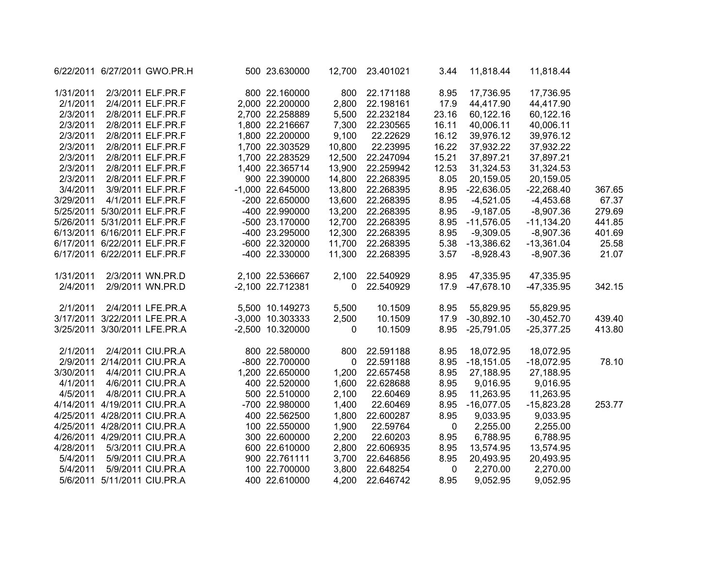|           |                                | 6/22/2011 6/27/2011 GWO.PR.H | 500 23.630000      | 12,700      | 23.401021 | 3.44  | 11,818.44    | 11,818.44    |        |
|-----------|--------------------------------|------------------------------|--------------------|-------------|-----------|-------|--------------|--------------|--------|
| 1/31/2011 |                                | 2/3/2011 ELF.PR.F            | 800 22.160000      | 800         | 22.171188 | 8.95  | 17,736.95    | 17,736.95    |        |
| 2/1/2011  |                                | 2/4/2011 ELF.PR.F            | 2,000 22.200000    | 2,800       | 22.198161 | 17.9  | 44,417.90    | 44,417.90    |        |
| 2/3/2011  |                                | 2/8/2011 ELF.PR.F            | 2,700 22.258889    | 5,500       | 22.232184 | 23.16 | 60,122.16    | 60,122.16    |        |
| 2/3/2011  |                                | 2/8/2011 ELF.PR.F            | 1,800 22.216667    | 7,300       | 22.230565 | 16.11 | 40,006.11    | 40,006.11    |        |
| 2/3/2011  |                                | 2/8/2011 ELF.PR.F            | 1,800 22.200000    | 9,100       | 22.22629  | 16.12 | 39,976.12    | 39,976.12    |        |
| 2/3/2011  |                                | 2/8/2011 ELF.PR.F            | 1,700 22.303529    | 10,800      | 22.23995  | 16.22 | 37,932.22    | 37,932.22    |        |
| 2/3/2011  |                                | 2/8/2011 ELF.PR.F            | 1,700 22.283529    | 12,500      | 22.247094 | 15.21 | 37,897.21    | 37,897.21    |        |
| 2/3/2011  |                                | 2/8/2011 ELF.PR.F            | 1,400 22.365714    | 13,900      | 22.259942 | 12.53 | 31,324.53    | 31,324.53    |        |
| 2/3/2011  |                                | 2/8/2011 ELF.PR.F            | 900 22.390000      | 14,800      | 22.268395 | 8.05  | 20,159.05    | 20,159.05    |        |
| 3/4/2011  |                                | 3/9/2011 ELF.PR.F            | $-1,000$ 22.645000 | 13,800      | 22.268395 | 8.95  | $-22,636.05$ | $-22,268.40$ | 367.65 |
| 3/29/2011 |                                | 4/1/2011 ELF.PR.F            | -200 22.650000     | 13,600      | 22.268395 | 8.95  | $-4,521.05$  | $-4,453.68$  | 67.37  |
|           | 5/25/2011 5/30/2011 ELF.PR.F   |                              | -400 22.990000     | 13,200      | 22.268395 | 8.95  | $-9,187.05$  | $-8,907.36$  | 279.69 |
|           |                                | 5/26/2011 5/31/2011 ELF.PR.F | -500 23.170000     | 12,700      | 22.268395 | 8.95  | $-11,576.05$ | $-11,134.20$ | 441.85 |
|           |                                | 6/13/2011 6/16/2011 ELF.PR.F | -400 23.295000     | 12,300      | 22.268395 | 8.95  | $-9,309.05$  | $-8,907.36$  | 401.69 |
|           |                                | 6/17/2011 6/22/2011 ELF.PR.F | -600 22.320000     | 11,700      | 22.268395 | 5.38  | $-13,386.62$ | $-13,361.04$ | 25.58  |
|           | 6/17/2011 6/22/2011 ELF.PR.F   |                              | -400 22.330000     | 11,300      | 22.268395 | 3.57  | $-8,928.43$  | $-8,907.36$  | 21.07  |
| 1/31/2011 |                                | 2/3/2011 WN.PR.D             | 2,100 22.536667    | 2,100       | 22.540929 | 8.95  | 47,335.95    | 47,335.95    |        |
| 2/4/2011  |                                | 2/9/2011 WN.PR.D             | -2,100 22.712381   | 0           | 22.540929 | 17.9  | $-47,678.10$ | $-47,335.95$ | 342.15 |
| 2/1/2011  |                                | 2/4/2011 LFE.PR.A            | 5,500 10.149273    | 5,500       | 10.1509   | 8.95  | 55,829.95    | 55,829.95    |        |
|           |                                | 3/17/2011 3/22/2011 LFE.PR.A | -3,000 10.303333   | 2,500       | 10.1509   | 17.9  | $-30,892.10$ | $-30,452.70$ | 439.40 |
|           |                                | 3/25/2011 3/30/2011 LFE.PR.A | -2,500 10.320000   | $\mathbf 0$ | 10.1509   | 8.95  | $-25,791.05$ | $-25,377.25$ | 413.80 |
| 2/1/2011  |                                | 2/4/2011 CIU.PR.A            | 800 22.580000      | 800         | 22.591188 | 8.95  | 18,072.95    | 18,072.95    |        |
|           | 2/9/2011 2/14/2011 CIU.PR.A    |                              | -800 22.700000     | 0           | 22.591188 | 8.95  | $-18,151.05$ | $-18,072.95$ | 78.10  |
| 3/30/2011 |                                | 4/4/2011 CIU.PR.A            | 1,200 22.650000    | 1,200       | 22.657458 | 8.95  | 27,188.95    | 27,188.95    |        |
| 4/1/2011  |                                | 4/6/2011 CIU.PR.A            | 400 22.520000      | 1,600       | 22.628688 | 8.95  | 9,016.95     | 9,016.95     |        |
| 4/5/2011  |                                | 4/8/2011 CIU.PR.A            | 500 22.510000      | 2,100       | 22.60469  | 8.95  | 11,263.95    | 11,263.95    |        |
|           | 4/14/2011 4/19/2011 CIU.PR.A   |                              | -700 22.980000     | 1,400       | 22.60469  | 8.95  | $-16,077.05$ | $-15,823.28$ | 253.77 |
|           | 4/25/2011  4/28/2011  CIU.PR.A |                              | 400 22.562500      | 1,800       | 22.600287 | 8.95  | 9,033.95     | 9,033.95     |        |
|           | 4/25/2011  4/28/2011  CIU.PR.A |                              | 100 22.550000      | 1,900       | 22.59764  | 0     | 2,255.00     | 2,255.00     |        |
|           | 4/26/2011  4/29/2011  CIU.PR.A |                              | 300 22.600000      | 2,200       | 22.60203  | 8.95  | 6,788.95     | 6,788.95     |        |
| 4/28/2011 |                                | 5/3/2011 CIU.PR.A            | 600 22.610000      | 2,800       | 22.606935 | 8.95  | 13,574.95    | 13,574.95    |        |
| 5/4/2011  |                                | 5/9/2011 CIU.PR.A            | 900 22.761111      | 3,700       | 22.646856 | 8.95  | 20,493.95    | 20,493.95    |        |
| 5/4/2011  |                                | 5/9/2011 CIU.PR.A            | 100 22.700000      | 3,800       | 22.648254 | 0     | 2,270.00     | 2,270.00     |        |
|           | 5/6/2011 5/11/2011 CIU.PR.A    |                              | 400 22.610000      | 4.200       | 22.646742 | 8.95  | 9,052.95     | 9,052.95     |        |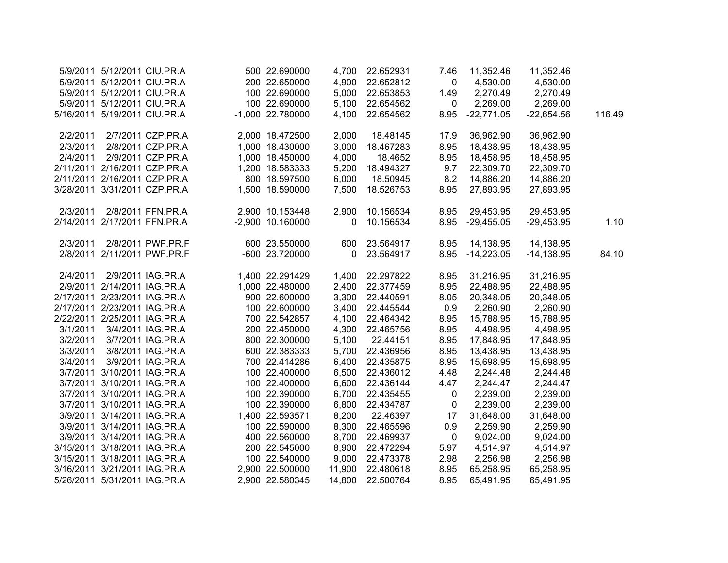|          | 5/9/2011 5/12/2011 CIU.PR.A  |                              | 500 22.690000    | 4,700       | 22.652931 | 7.46        | 11,352.46    | 11,352.46    |        |
|----------|------------------------------|------------------------------|------------------|-------------|-----------|-------------|--------------|--------------|--------|
|          |                              | 5/9/2011 5/12/2011 CIU.PR.A  | 200 22.650000    | 4,900       | 22.652812 | $\mathbf 0$ | 4,530.00     | 4,530.00     |        |
|          |                              | 5/9/2011 5/12/2011 CIU.PR.A  | 100 22.690000    | 5,000       | 22.653853 | 1.49        | 2,270.49     | 2,270.49     |        |
|          |                              | 5/9/2011 5/12/2011 CIU.PR.A  | 100 22.690000    | 5,100       | 22.654562 | 0           | 2,269.00     | 2,269.00     |        |
|          |                              | 5/16/2011 5/19/2011 CIU.PR.A | -1,000 22.780000 | 4,100       | 22.654562 | 8.95        | $-22,771.05$ | $-22,654.56$ | 116.49 |
| 2/2/2011 |                              | 2/7/2011 CZP.PR.A            | 2,000 18.472500  | 2,000       | 18.48145  | 17.9        | 36,962.90    | 36,962.90    |        |
| 2/3/2011 |                              | 2/8/2011 CZP.PR.A            | 1,000 18.430000  | 3,000       | 18.467283 | 8.95        | 18,438.95    | 18,438.95    |        |
| 2/4/2011 |                              | 2/9/2011 CZP.PR.A            | 1,000 18.450000  | 4,000       | 18.4652   | 8.95        | 18,458.95    | 18,458.95    |        |
|          |                              | 2/11/2011 2/16/2011 CZP.PR.A | 1,200 18.583333  | 5,200       | 18.494327 | 9.7         | 22,309.70    | 22,309.70    |        |
|          |                              | 2/11/2011 2/16/2011 CZP.PR.A | 800 18.597500    | 6,000       | 18.50945  | 8.2         | 14,886.20    | 14,886.20    |        |
|          |                              | 3/28/2011 3/31/2011 CZP.PR.A | 1,500 18.590000  | 7,500       | 18.526753 | 8.95        | 27,893.95    | 27,893.95    |        |
| 2/3/2011 |                              | 2/8/2011 FFN.PR.A            | 2,900 10.153448  | 2,900       | 10.156534 | 8.95        | 29,453.95    | 29,453.95    |        |
|          |                              | 2/14/2011 2/17/2011 FFN.PR.A | -2,900 10.160000 | $\mathbf 0$ | 10.156534 | 8.95        | $-29,455.05$ | $-29,453.95$ | 1.10   |
| 2/3/2011 |                              | 2/8/2011 PWF.PR.F            | 600 23.550000    | 600         | 23.564917 | 8.95        | 14,138.95    | 14,138.95    |        |
|          |                              | 2/8/2011 2/11/2011 PWF.PR.F  | -600 23.720000   | 0           | 23.564917 | 8.95        | $-14,223.05$ | $-14,138.95$ | 84.10  |
| 2/4/2011 |                              | 2/9/2011 IAG.PR.A            | 1,400 22.291429  | 1,400       | 22.297822 | 8.95        | 31,216.95    | 31,216.95    |        |
|          |                              | 2/9/2011 2/14/2011 IAG.PR.A  | 1,000 22.480000  | 2,400       | 22.377459 | 8.95        | 22,488.95    | 22,488.95    |        |
|          |                              | 2/17/2011 2/23/2011 IAG.PR.A | 900 22.600000    | 3,300       | 22.440591 | 8.05        | 20,348.05    | 20,348.05    |        |
|          |                              | 2/17/2011 2/23/2011 IAG.PR.A | 100 22.600000    | 3,400       | 22.445544 | 0.9         | 2,260.90     | 2,260.90     |        |
|          |                              | 2/22/2011 2/25/2011 IAG.PR.A | 700 22.542857    | 4,100       | 22.464342 | 8.95        | 15,788.95    | 15,788.95    |        |
| 3/1/2011 |                              | 3/4/2011 IAG.PR.A            | 200 22.450000    | 4,300       | 22.465756 | 8.95        | 4,498.95     | 4,498.95     |        |
| 3/2/2011 |                              | 3/7/2011 IAG.PR.A            | 800 22.300000    | 5,100       | 22.44151  | 8.95        | 17,848.95    | 17,848.95    |        |
| 3/3/2011 |                              | 3/8/2011 IAG.PR.A            | 600 22.383333    | 5,700       | 22.436956 | 8.95        | 13,438.95    | 13,438.95    |        |
| 3/4/2011 |                              | 3/9/2011 IAG.PR.A            | 700 22.414286    | 6,400       | 22.435875 | 8.95        | 15,698.95    | 15,698.95    |        |
|          | 3/7/2011 3/10/2011 IAG.PR.A  |                              | 100 22.400000    | 6,500       | 22.436012 | 4.48        | 2,244.48     | 2,244.48     |        |
|          | 3/7/2011 3/10/2011 IAG.PR.A  |                              | 100 22.400000    | 6,600       | 22.436144 | 4.47        | 2,244.47     | 2,244.47     |        |
|          |                              | 3/7/2011 3/10/2011 IAG.PR.A  | 100 22.390000    | 6,700       | 22.435455 | $\mathbf 0$ | 2,239.00     | 2,239.00     |        |
|          |                              | 3/7/2011 3/10/2011 IAG.PR.A  | 100 22.390000    | 6,800       | 22.434787 | 0           | 2,239.00     | 2,239.00     |        |
|          | 3/9/2011 3/14/2011 IAG.PR.A  |                              | 1,400 22.593571  | 8,200       | 22.46397  | 17          | 31,648.00    | 31,648.00    |        |
|          |                              | 3/9/2011 3/14/2011 IAG.PR.A  | 100 22.590000    | 8,300       | 22.465596 | 0.9         | 2,259.90     | 2,259.90     |        |
|          |                              | 3/9/2011 3/14/2011 IAG.PR.A  | 400 22.560000    | 8,700       | 22.469937 | $\mathbf 0$ | 9,024.00     | 9,024.00     |        |
|          |                              | 3/15/2011 3/18/2011 IAG.PR.A | 200 22.545000    | 8,900       | 22.472294 | 5.97        | 4,514.97     | 4,514.97     |        |
|          |                              | 3/15/2011 3/18/2011 IAG.PR.A | 100 22.540000    | 9,000       | 22.473378 | 2.98        | 2,256.98     | 2,256.98     |        |
|          |                              | 3/16/2011 3/21/2011 IAG.PR.A | 2,900 22.500000  | 11,900      | 22.480618 | 8.95        | 65,258.95    | 65,258.95    |        |
|          | 5/26/2011 5/31/2011 IAG.PR.A |                              | 2,900 22.580345  | 14.800      | 22.500764 | 8.95        | 65,491.95    | 65,491.95    |        |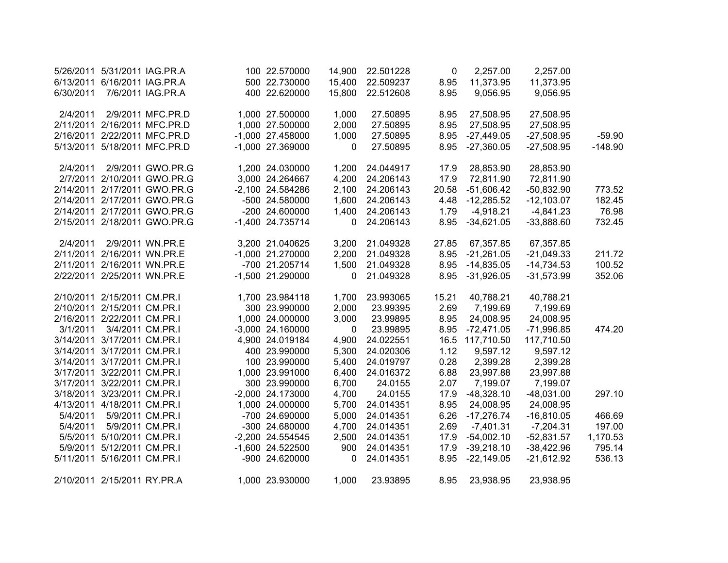| 5/26/2011 |                             | 5/31/2011 IAG.PR.A           | 100 22.570000      | 14,900      | 22.501228 | 0     | 2,257.00     | 2,257.00     |           |
|-----------|-----------------------------|------------------------------|--------------------|-------------|-----------|-------|--------------|--------------|-----------|
| 6/13/2011 | 6/16/2011 IAG.PR.A          |                              | 500 22.730000      | 15,400      | 22.509237 | 8.95  | 11,373.95    | 11,373.95    |           |
| 6/30/2011 |                             | 7/6/2011 IAG.PR.A            | 400 22.620000      | 15,800      | 22.512608 | 8.95  | 9,056.95     | 9,056.95     |           |
|           |                             |                              |                    |             |           |       |              |              |           |
| 2/4/2011  |                             | 2/9/2011 MFC.PR.D            | 1,000 27.500000    | 1,000       | 27.50895  | 8.95  | 27,508.95    | 27,508.95    |           |
| 2/11/2011 |                             | 2/16/2011 MFC.PR.D           | 1,000 27.500000    | 2,000       | 27.50895  | 8.95  | 27,508.95    | 27,508.95    |           |
| 2/16/2011 |                             | 2/22/2011 MFC.PR.D           | $-1,000$ 27.458000 | 1,000       | 27.50895  | 8.95  | $-27,449.05$ | $-27,508.95$ | $-59.90$  |
| 5/13/2011 |                             | 5/18/2011 MFC.PR.D           | -1,000 27.369000   | 0           | 27.50895  | 8.95  | $-27,360.05$ | $-27,508.95$ | $-148.90$ |
| 2/4/2011  |                             | 2/9/2011 GWO.PR.G            | 1,200 24.030000    | 1,200       | 24.044917 | 17.9  | 28,853.90    | 28,853.90    |           |
|           |                             | 2/7/2011 2/10/2011 GWO.PR.G  | 3,000 24.264667    | 4,200       | 24.206143 | 17.9  | 72,811.90    | 72,811.90    |           |
|           |                             | 2/14/2011 2/17/2011 GWO.PR.G | -2,100 24.584286   | 2,100       | 24.206143 | 20.58 | $-51,606.42$ | $-50,832.90$ | 773.52    |
|           |                             | 2/14/2011 2/17/2011 GWO.PR.G | -500 24.580000     | 1,600       | 24.206143 | 4.48  | $-12,285.52$ | $-12,103.07$ | 182.45    |
|           |                             | 2/14/2011 2/17/2011 GWO.PR.G | -200 24.600000     | 1,400       | 24.206143 | 1.79  | $-4,918.21$  | $-4,841.23$  | 76.98     |
|           |                             | 2/15/2011 2/18/2011 GWO.PR.G | -1,400 24.735714   | 0           | 24.206143 | 8.95  | $-34,621.05$ | $-33,888.60$ | 732.45    |
|           |                             |                              |                    |             |           |       |              |              |           |
| 2/4/2011  |                             | 2/9/2011 WN.PR.E             | 3,200 21.040625    | 3,200       | 21.049328 | 27.85 | 67,357.85    | 67,357.85    |           |
| 2/11/2011 | 2/16/2011 WN.PR.E           |                              | -1,000 21.270000   | 2,200       | 21.049328 | 8.95  | $-21,261.05$ | $-21,049.33$ | 211.72    |
|           | 2/11/2011 2/16/2011 WN.PR.E |                              | -700 21.205714     | 1,500       | 21.049328 | 8.95  | $-14,835.05$ | $-14,734.53$ | 100.52    |
|           | 2/22/2011 2/25/2011 WN.PR.E |                              | -1,500 21.290000   | 0           | 21.049328 | 8.95  | $-31,926.05$ | $-31,573.99$ | 352.06    |
|           | 2/10/2011 2/15/2011 CM.PR.I |                              | 1,700 23.984118    | 1,700       | 23.993065 | 15.21 | 40,788.21    | 40,788.21    |           |
|           | 2/10/2011 2/15/2011 CM.PR.I |                              | 300 23.990000      | 2,000       | 23.99395  | 2.69  | 7,199.69     | 7,199.69     |           |
|           | 2/16/2011 2/22/2011 CM.PR.I |                              | 1,000 24.000000    | 3,000       | 23.99895  | 8.95  | 24,008.95    | 24,008.95    |           |
|           |                             |                              |                    |             |           |       |              |              |           |
| 3/1/2011  |                             | 3/4/2011 CM.PR.I             | $-3,000$ 24.160000 | $\mathbf 0$ | 23.99895  | 8.95  | $-72,471.05$ | $-71,996.85$ | 474.20    |
|           | 3/14/2011 3/17/2011 CM.PR.I |                              | 4,900 24.019184    | 4,900       | 24.022551 | 16.5  | 117,710.50   | 117,710.50   |           |
|           | 3/14/2011 3/17/2011 CM.PR.I |                              | 400 23.990000      | 5,300       | 24.020306 | 1.12  | 9,597.12     | 9,597.12     |           |
|           | 3/14/2011 3/17/2011 CM.PR.I |                              | 100 23.990000      | 5,400       | 24.019797 | 0.28  | 2,399.28     | 2,399.28     |           |
|           | 3/17/2011 3/22/2011 CM.PR.I |                              | 1,000 23.991000    | 6,400       | 24.016372 | 6.88  | 23,997.88    | 23,997.88    |           |
|           | 3/17/2011 3/22/2011 CM.PR.I |                              | 300 23.990000      | 6,700       | 24.0155   | 2.07  | 7,199.07     | 7,199.07     |           |
|           | 3/18/2011 3/23/2011 CM.PR.I |                              | -2,000 24.173000   | 4,700       | 24.0155   | 17.9  | $-48,328.10$ | $-48,031.00$ | 297.10    |
|           | 4/13/2011 4/18/2011 CM.PR.I |                              | 1,000 24.000000    | 5,700       | 24.014351 | 8.95  | 24,008.95    | 24,008.95    |           |
| 5/4/2011  | 5/9/2011 CM.PR.I            |                              | -700 24.690000     | 5,000       | 24.014351 | 6.26  | $-17,276.74$ | $-16,810.05$ | 466.69    |
| 5/4/2011  | 5/9/2011 CM.PR.I            |                              | -300 24.680000     | 4,700       | 24.014351 | 2.69  | $-7,401.31$  | $-7,204.31$  | 197.00    |
| 5/5/2011  | 5/10/2011 CM.PR.I           |                              | -2,200 24.554545   | 2,500       | 24.014351 | 17.9  | $-54,002.10$ | $-52,831.57$ | 1,170.53  |
| 5/9/2011  | 5/12/2011 CM.PR.I           |                              | -1,600 24.522500   | 900         | 24.014351 | 17.9  | $-39,218.10$ | $-38,422.96$ | 795.14    |
| 5/11/2011 | 5/16/2011 CM.PR.I           |                              | -900 24.620000     | 0           | 24.014351 | 8.95  | $-22,149.05$ | $-21,612.92$ | 536.13    |
|           | 2/10/2011 2/15/2011 RY.PR.A |                              | 1,000 23.930000    | 1,000       | 23.93895  | 8.95  | 23,938.95    | 23,938.95    |           |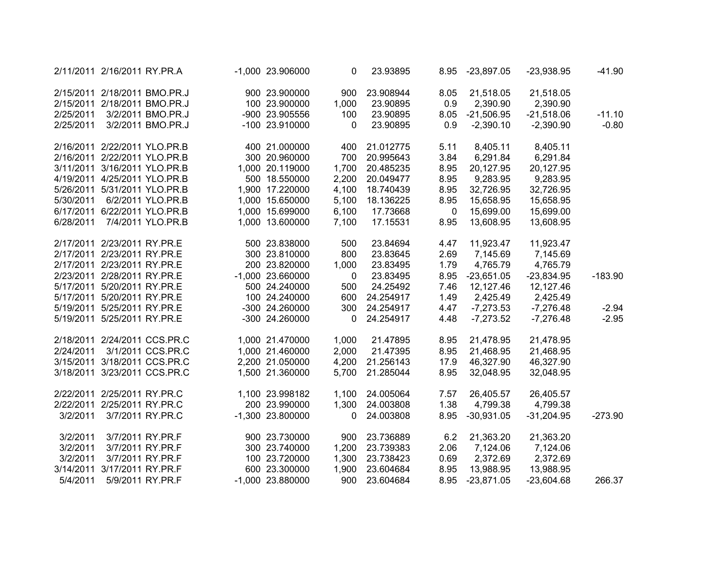| 2/11/2011 2/16/2011 RY.PR.A |                   |                              | -1,000 23.906000   | 0     | 23.93895  | 8.95        | -23,897.05   | $-23,938.95$ | $-41.90$  |
|-----------------------------|-------------------|------------------------------|--------------------|-------|-----------|-------------|--------------|--------------|-----------|
|                             |                   | 2/15/2011 2/18/2011 BMO.PR.J | 900 23.900000      | 900   | 23.908944 | 8.05        | 21,518.05    | 21,518.05    |           |
|                             |                   | 2/15/2011 2/18/2011 BMO.PR.J | 100 23.900000      | 1,000 | 23.90895  | 0.9         | 2,390.90     | 2,390.90     |           |
| 2/25/2011                   |                   | 3/2/2011 BMO.PR.J            | -900 23.905556     | 100   | 23.90895  | 8.05        | $-21,506.95$ | $-21,518.06$ | $-11.10$  |
| 2/25/2011                   |                   | 3/2/2011 BMO.PR.J            | -100 23.910000     | 0     | 23.90895  | 0.9         | $-2,390.10$  | $-2,390.90$  | $-0.80$   |
|                             |                   | 2/16/2011 2/22/2011 YLO.PR.B | 400 21.000000      | 400   | 21.012775 | 5.11        | 8,405.11     | 8,405.11     |           |
|                             |                   | 2/16/2011 2/22/2011 YLO.PR.B | 300 20.960000      | 700   | 20.995643 | 3.84        | 6,291.84     | 6,291.84     |           |
|                             |                   | 3/11/2011 3/16/2011 YLO.PR.B | 1,000 20.119000    | 1,700 | 20.485235 | 8.95        | 20,127.95    | 20,127.95    |           |
|                             |                   | 4/19/2011 4/25/2011 YLO.PR.B | 500 18.550000      | 2,200 | 20.049477 | 8.95        | 9,283.95     | 9,283.95     |           |
|                             |                   | 5/26/2011 5/31/2011 YLO.PR.B | 1,900 17.220000    | 4,100 | 18.740439 | 8.95        | 32,726.95    | 32,726.95    |           |
|                             |                   | 5/30/2011 6/2/2011 YLO.PR.B  | 1,000 15.650000    | 5,100 | 18.136225 | 8.95        | 15,658.95    | 15,658.95    |           |
|                             |                   | 6/17/2011 6/22/2011 YLO.PR.B | 1,000 15.699000    | 6,100 | 17.73668  | $\mathbf 0$ | 15,699.00    | 15,699.00    |           |
| 6/28/2011                   |                   | 7/4/2011 YLO.PR.B            | 1,000 13.600000    | 7,100 | 17.15531  | 8.95        | 13,608.95    | 13,608.95    |           |
| 2/17/2011 2/23/2011 RY.PR.E |                   |                              | 500 23.838000      | 500   | 23.84694  | 4.47        | 11,923.47    | 11,923.47    |           |
| 2/17/2011 2/23/2011 RY.PR.E |                   |                              | 300 23.810000      | 800   | 23.83645  | 2.69        | 7,145.69     | 7,145.69     |           |
| 2/17/2011 2/23/2011 RY.PR.E |                   |                              | 200 23.820000      | 1,000 | 23.83495  | 1.79        | 4,765.79     | 4,765.79     |           |
| 2/23/2011 2/28/2011 RY.PR.E |                   |                              | $-1,000$ 23.660000 | 0     | 23.83495  | 8.95        | $-23,651.05$ | $-23,834.95$ | $-183.90$ |
| 5/17/2011 5/20/2011 RY.PR.E |                   |                              | 500 24.240000      | 500   | 24.25492  | 7.46        | 12,127.46    | 12,127.46    |           |
| 5/17/2011 5/20/2011 RY.PR.E |                   |                              | 100 24.240000      | 600   | 24.254917 | 1.49        | 2,425.49     | 2,425.49     |           |
| 5/19/2011 5/25/2011 RY.PR.E |                   |                              | -300 24.260000     | 300   | 24.254917 | 4.47        | $-7,273.53$  | $-7,276.48$  | $-2.94$   |
| 5/19/2011 5/25/2011 RY.PR.E |                   |                              | -300 24.260000     | 0     | 24.254917 | 4.48        | $-7,273.52$  | $-7,276.48$  | $-2.95$   |
|                             |                   | 2/18/2011 2/24/2011 CCS.PR.C | 1,000 21.470000    | 1,000 | 21.47895  | 8.95        | 21,478.95    | 21,478.95    |           |
| 2/24/2011                   |                   | 3/1/2011 CCS.PR.C            | 1,000 21.460000    | 2,000 | 21.47395  | 8.95        | 21,468.95    | 21,468.95    |           |
|                             |                   | 3/15/2011 3/18/2011 CCS.PR.C | 2,200 21.050000    | 4,200 | 21.256143 | 17.9        | 46,327.90    | 46,327.90    |           |
|                             |                   | 3/18/2011 3/23/2011 CCS.PR.C | 1,500 21.360000    | 5,700 | 21.285044 | 8.95        | 32,048.95    | 32,048.95    |           |
| 2/22/2011 2/25/2011 RY.PR.C |                   |                              | 1,100 23.998182    | 1,100 | 24.005064 | 7.57        | 26,405.57    | 26,405.57    |           |
| 2/22/2011 2/25/2011 RY.PR.C |                   |                              | 200 23.990000      | 1,300 | 24.003808 | 1.38        | 4,799.38     | 4,799.38     |           |
| 3/2/2011                    |                   | 3/7/2011 RY.PR.C             | -1,300 23.800000   | 0     | 24.003808 | 8.95        | $-30,931.05$ | $-31,204.95$ | $-273.90$ |
| 3/2/2011                    |                   | 3/7/2011 RY.PR.F             | 900 23.730000      | 900   | 23.736889 | 6.2         | 21,363.20    | 21,363.20    |           |
| 3/2/2011                    |                   | 3/7/2011 RY.PR.F             | 300 23.740000      | 1,200 | 23.739383 | 2.06        | 7,124.06     | 7,124.06     |           |
| 3/2/2011                    |                   | 3/7/2011 RY.PR.F             | 100 23.720000      | 1,300 | 23.738423 | 0.69        | 2,372.69     | 2,372.69     |           |
| 3/14/2011                   | 3/17/2011 RY.PR.F |                              | 600 23.300000      | 1,900 | 23.604684 | 8.95        | 13,988.95    | 13,988.95    |           |
| 5/4/2011                    |                   | 5/9/2011 RY.PR.F             | -1,000 23.880000   | 900   | 23.604684 | 8.95        | $-23,871.05$ | $-23,604.68$ | 266.37    |